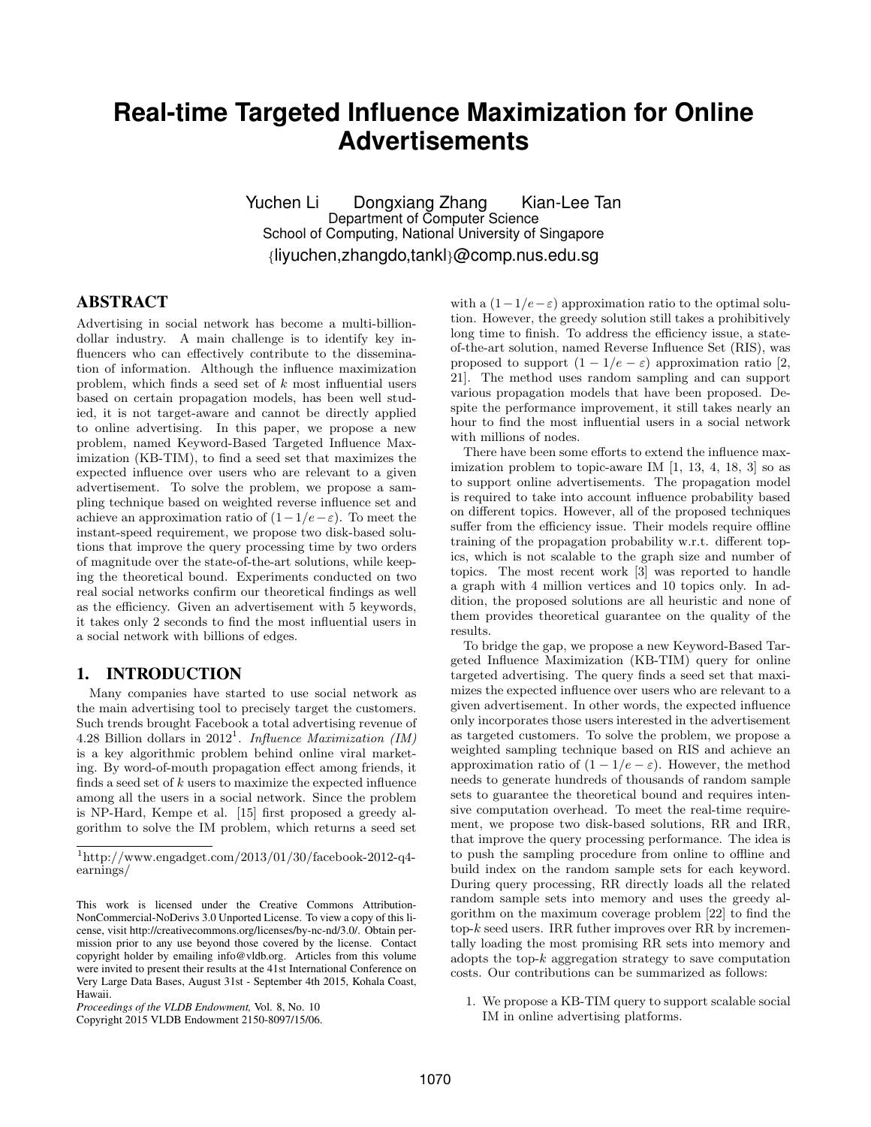# **Real-time Targeted Influence Maximization for Online Advertisements**

Yuchen Li Dongxiang Zhang Kian-Lee Tan Department of Computer Science School of Computing, National University of Singapore {liyuchen,zhangdo,tankl}@comp.nus.edu.sg

# ABSTRACT

Advertising in social network has become a multi-billiondollar industry. A main challenge is to identify key influencers who can effectively contribute to the dissemination of information. Although the influence maximization problem, which finds a seed set of k most influential users based on certain propagation models, has been well studied, it is not target-aware and cannot be directly applied to online advertising. In this paper, we propose a new problem, named Keyword-Based Targeted Influence Maximization (KB-TIM), to find a seed set that maximizes the expected influence over users who are relevant to a given advertisement. To solve the problem, we propose a sampling technique based on weighted reverse influence set and achieve an approximation ratio of  $(1-1/e-\varepsilon)$ . To meet the instant-speed requirement, we propose two disk-based solutions that improve the query processing time by two orders of magnitude over the state-of-the-art solutions, while keeping the theoretical bound. Experiments conducted on two real social networks confirm our theoretical findings as well as the efficiency. Given an advertisement with 5 keywords, it takes only 2 seconds to find the most influential users in a social network with billions of edges.

## 1. INTRODUCTION

Many companies have started to use social network as the main advertising tool to precisely target the customers. Such trends brought Facebook a total advertising revenue of 4.28 Billion dollars in 2012<sup>1</sup>. Influence Maximization (IM) is a key algorithmic problem behind online viral marketing. By word-of-mouth propagation effect among friends, it finds a seed set of  $k$  users to maximize the expected influence among all the users in a social network. Since the problem is NP-Hard, Kempe et al. [15] first proposed a greedy algorithm to solve the IM problem, which returns a seed set

Copyright 2015 VLDB Endowment 2150-8097/15/06.

with a  $(1-1/e-\varepsilon)$  approximation ratio to the optimal solution. However, the greedy solution still takes a prohibitively long time to finish. To address the efficiency issue, a stateof-the-art solution, named Reverse Influence Set (RIS), was proposed to support  $(1 - 1/e - \varepsilon)$  approximation ratio [2, 21]. The method uses random sampling and can support various propagation models that have been proposed. Despite the performance improvement, it still takes nearly an hour to find the most influential users in a social network with millions of nodes.

There have been some efforts to extend the influence maximization problem to topic-aware IM [1, 13, 4, 18, 3] so as to support online advertisements. The propagation model is required to take into account influence probability based on different topics. However, all of the proposed techniques suffer from the efficiency issue. Their models require offline training of the propagation probability w.r.t. different topics, which is not scalable to the graph size and number of topics. The most recent work [3] was reported to handle a graph with 4 million vertices and 10 topics only. In addition, the proposed solutions are all heuristic and none of them provides theoretical guarantee on the quality of the results.

To bridge the gap, we propose a new Keyword-Based Targeted Influence Maximization (KB-TIM) query for online targeted advertising. The query finds a seed set that maximizes the expected influence over users who are relevant to a given advertisement. In other words, the expected influence only incorporates those users interested in the advertisement as targeted customers. To solve the problem, we propose a weighted sampling technique based on RIS and achieve an approximation ratio of  $(1 - 1/e - \varepsilon)$ . However, the method needs to generate hundreds of thousands of random sample sets to guarantee the theoretical bound and requires intensive computation overhead. To meet the real-time requirement, we propose two disk-based solutions, RR and IRR, that improve the query processing performance. The idea is to push the sampling procedure from online to offline and build index on the random sample sets for each keyword. During query processing, RR directly loads all the related random sample sets into memory and uses the greedy algorithm on the maximum coverage problem [22] to find the  $top-k$  seed users. IRR futher improves over RR by incrementally loading the most promising RR sets into memory and adopts the top- $k$  aggregation strategy to save computation costs. Our contributions can be summarized as follows:

1. We propose a KB-TIM query to support scalable social IM in online advertising platforms.

 $1$ http://www.engadget.com/2013/01/30/facebook-2012-q4earnings/

This work is licensed under the Creative Commons Attribution-NonCommercial-NoDerivs 3.0 Unported License. To view a copy of this license, visit http://creativecommons.org/licenses/by-nc-nd/3.0/. Obtain permission prior to any use beyond those covered by the license. Contact copyright holder by emailing info@vldb.org. Articles from this volume were invited to present their results at the 41st International Conference on Very Large Data Bases, August 31st - September 4th 2015, Kohala Coast, Hawaii.

*Proceedings of the VLDB Endowment,* Vol. 8, No. 10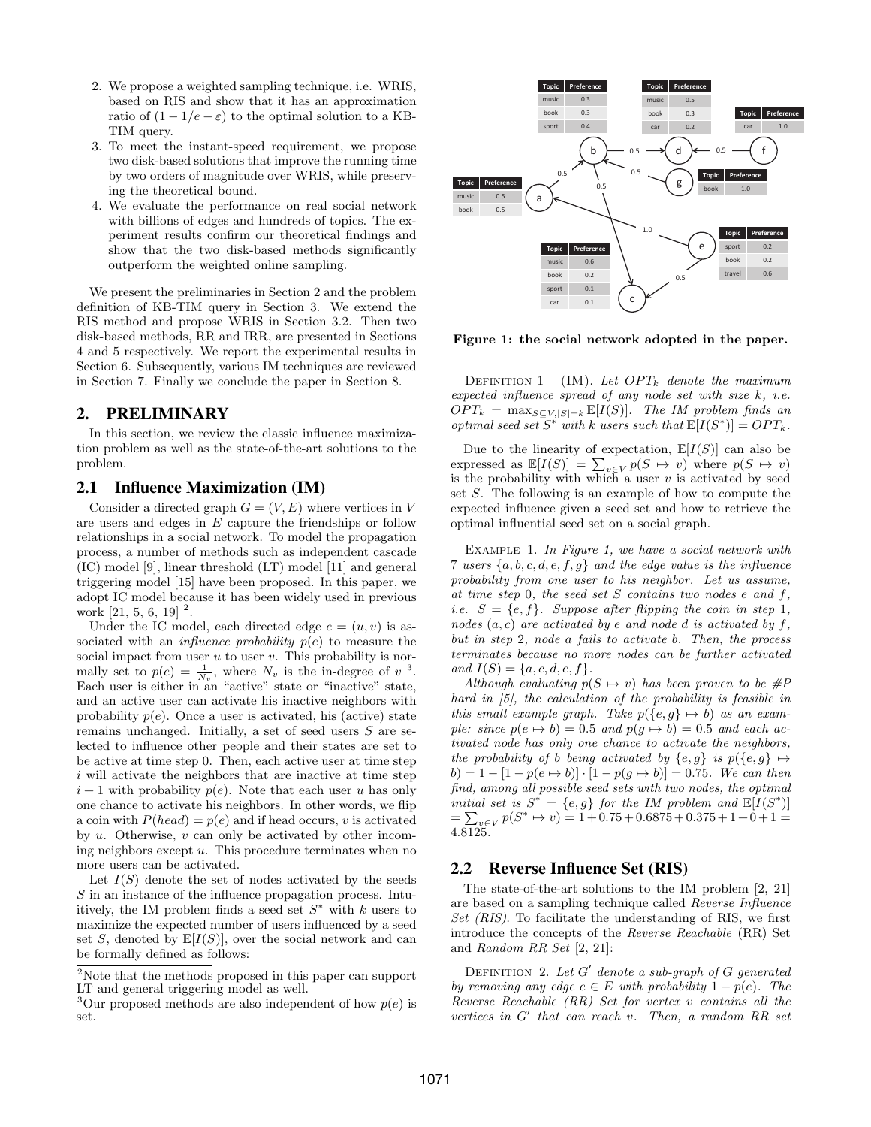- 2. We propose a weighted sampling technique, i.e. WRIS, based on RIS and show that it has an approximation ratio of  $(1 - 1/e - \varepsilon)$  to the optimal solution to a KB-TIM query.
- 3. To meet the instant-speed requirement, we propose two disk-based solutions that improve the running time by two orders of magnitude over WRIS, while preserving the theoretical bound.
- 4. We evaluate the performance on real social network with billions of edges and hundreds of topics. The experiment results confirm our theoretical findings and show that the two disk-based methods significantly outperform the weighted online sampling.

We present the preliminaries in Section 2 and the problem definition of KB-TIM query in Section 3. We extend the RIS method and propose WRIS in Section 3.2. Then two disk-based methods, RR and IRR, are presented in Sections 4 and 5 respectively. We report the experimental results in Section 6. Subsequently, various IM techniques are reviewed in Section 7. Finally we conclude the paper in Section 8.

## 2. PRELIMINARY

In this section, we review the classic influence maximization problem as well as the state-of-the-art solutions to the problem.

## 2.1 Influence Maximization (IM)

Consider a directed graph  $G = (V, E)$  where vertices in V are users and edges in E capture the friendships or follow relationships in a social network. To model the propagation process, a number of methods such as independent cascade (IC) model [9], linear threshold (LT) model [11] and general triggering model [15] have been proposed. In this paper, we adopt IC model because it has been widely used in previous work [21, 5, 6, 19]  $^2$ .

Under the IC model, each directed edge  $e = (u, v)$  is associated with an *influence probability*  $p(e)$  to measure the social impact from user  $u$  to user  $v$ . This probability is normally set to  $p(e) = \frac{1}{N_v}$ , where  $N_v$  is the in-degree of  $v^3$ . Each user is either in an "active" state or "inactive" state, and an active user can activate his inactive neighbors with probability  $p(e)$ . Once a user is activated, his (active) state remains unchanged. Initially, a set of seed users S are selected to influence other people and their states are set to be active at time step 0. Then, each active user at time step i will activate the neighbors that are inactive at time step  $i+1$  with probability  $p(e)$ . Note that each user u has only one chance to activate his neighbors. In other words, we flip a coin with  $P(head) = p(e)$  and if head occurs, v is activated by  $u$ . Otherwise,  $v$  can only be activated by other incoming neighbors except  $u$ . This procedure terminates when no more users can be activated.

Let  $I(S)$  denote the set of nodes activated by the seeds S in an instance of the influence propagation process. Intuitively, the IM problem finds a seed set  $S^*$  with k users to maximize the expected number of users influenced by a seed set S, denoted by  $\mathbb{E}[I(S)]$ , over the social network and can be formally defined as follows:



Figure 1: the social network adopted in the paper.

DEFINITION 1 (IM). Let  $OPT_k$  denote the maximum expected influence spread of any node set with size  $k$ , i.e.  $OPT_k = \max_{S \subseteq V, |S|=k} \mathbb{E}[I(S)].$  The IM problem finds an optimal seed set  $S^*$  with k users such that  $\mathbb{E}[I(S^*)] = OPT_k$ .

Due to the linearity of expectation,  $\mathbb{E}[I(S)]$  can also be expressed as  $\mathbb{E}[I(S)] = \sum_{v \in V} p(S \mapsto v)$  where  $p(S \mapsto v)$ is the probability with which a user  $v$  is activated by seed set S. The following is an example of how to compute the expected influence given a seed set and how to retrieve the optimal influential seed set on a social graph.

Example 1. In Figure 1, we have a social network with 7 users  $\{a, b, c, d, e, f, g\}$  and the edge value is the influence probability from one user to his neighbor. Let us assume, at time step 0, the seed set  $S$  contains two nodes  $e$  and  $f$ , i.e.  $S = \{e, f\}$ . Suppose after flipping the coin in step 1, nodes  $(a, c)$  are activated by e and node d is activated by f, but in step 2, node a fails to activate b. Then, the process terminates because no more nodes can be further activated and  $I(S) = \{a, c, d, e, f\}.$ 

Although evaluating  $p(S \mapsto v)$  has been proven to be #P hard in [5], the calculation of the probability is feasible in this small example graph. Take  $p({e, g} \mapsto b)$  as an example: since  $p(e \mapsto b) = 0.5$  and  $p(g \mapsto b) = 0.5$  and each activated node has only one chance to activate the neighbors, the probability of b being activated by  $\{e, g\}$  is  $p(\{e, g\} \mapsto$  $b) = 1 - [1 - p(e \mapsto b)] \cdot [1 - p(g \mapsto b)] = 0.75$ . We can then find, among all possible seed sets with two nodes, the optimal initial set is  $S^* = \{e, g\}$  for the IM problem and  $\mathbb{E}[I(S^*)]$  $=\sum_{v\in V}p(S^*\mapsto v)=1+0.75+0.6875+0.375+1+0+1=$ 4.8125.

## 2.2 Reverse Influence Set (RIS)

The state-of-the-art solutions to the IM problem [2, 21] are based on a sampling technique called Reverse Influence Set  $(RIS)$ . To facilitate the understanding of RIS, we first introduce the concepts of the Reverse Reachable (RR) Set and Random RR Set [2, 21]:

DEFINITION 2. Let  $G'$  denote a sub-graph of  $G$  generated by removing any edge  $e \in E$  with probability  $1 - p(e)$ . The Reverse Reachable (RR) Set for vertex v contains all the vertices in  $G'$  that can reach v. Then, a random RR set

<sup>2</sup>Note that the methods proposed in this paper can support LT and general triggering model as well.

<sup>&</sup>lt;sup>3</sup>Our proposed methods are also independent of how  $p(e)$  is set.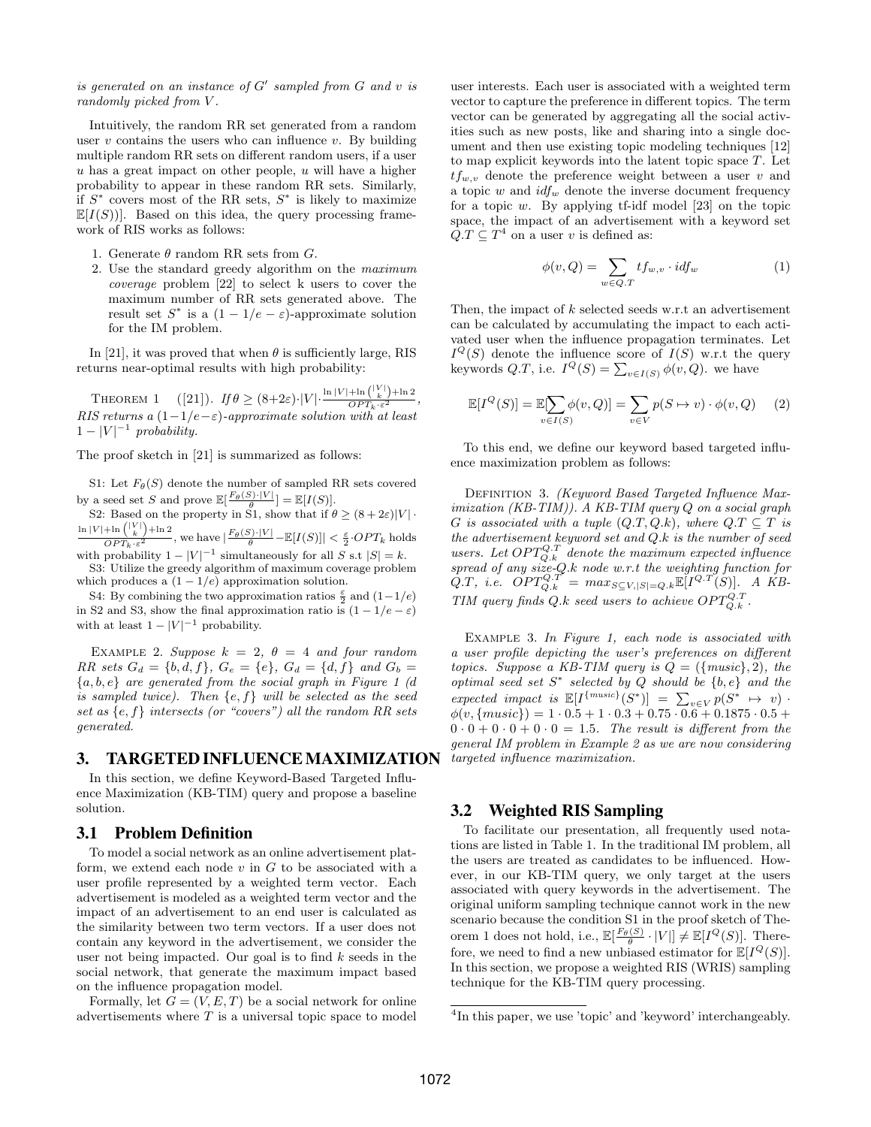is generated on an instance of  $G'$  sampled from  $G$  and  $v$  is randomly picked from V.

Intuitively, the random RR set generated from a random user  $v$  contains the users who can influence  $v$ . By building multiple random RR sets on different random users, if a user  $u$  has a great impact on other people,  $u$  will have a higher probability to appear in these random RR sets. Similarly, if  $S^*$  covers most of the RR sets,  $S^*$  is likely to maximize  $\mathbb{E}[I(S)]$ . Based on this idea, the query processing framework of RIS works as follows:

- 1. Generate  $\theta$  random RR sets from G.
- 2. Use the standard greedy algorithm on the maximum coverage problem [22] to select k users to cover the maximum number of RR sets generated above. The result set  $S^*$  is a  $(1 - 1/e - \varepsilon)$ -approximate solution for the IM problem.

In [21], it was proved that when  $\theta$  is sufficiently large, RIS returns near-optimal results with high probability:

THEOREM 1  $([21])$ . If  $\theta \ge (8+2\varepsilon) \cdot |V| \cdot \frac{\ln |V| + \ln \binom{|V|}{k} + \ln 2}{OPT_k \cdot \varepsilon^2},$ RIS returns a  $(1-1/e-\varepsilon)$ -approximate solution with at least  $1-|V|^{-1}$  probability.

The proof sketch in [21] is summarized as follows:

S1: Let  $F_{\theta}(S)$  denote the number of sampled RR sets covered by a seed set S and prove  $\mathbb{E}[\frac{F_{\theta}(S) \cdot |V|}{\theta}] = \mathbb{E}[I(S)].$ 

S2: Based on the property in S1, show that if  $\theta \ge (8 + 2\varepsilon)|V|$ .  $\ln |V| + \ln \binom{|V|}{k} + \ln 2$  $\frac{\text{pm} \ln \left( \frac{V}{k} \right) + \text{ln} 2}{OPT_k \cdot \varepsilon^2}$ , we have  $\left| \frac{F_\theta(S) \cdot |V|}{\theta} - \mathbb{E}[I(S)] \right| < \frac{\varepsilon}{2} \cdot OPT_k$  holds with probability  $1 - |V|^{-1}$  simultaneously for all S s.t  $|S| = k$ .

S3: Utilize the greedy algorithm of maximum coverage problem which produces a  $(1 - 1/e)$  approximation solution.

S4: By combining the two approximation ratios  $\frac{\varepsilon}{2}$  and  $(1-1/e)$ in S2 and S3, show the final approximation ratio is  $(1 - 1/e - \varepsilon)$ with at least  $1 - |V|^{-1}$  probability.

EXAMPLE 2. Suppose  $k = 2$ ,  $\theta = 4$  and four random RR sets  $G_d = \{b, d, f\}$ ,  $G_e = \{e\}$ ,  $G_d = \{d, f\}$  and  $G_b =$  ${a,b,e}$  are generated from the social graph in Figure 1 (d is sampled twice). Then  $\{e, f\}$  will be selected as the seed set as  $\{e, f\}$  intersects (or "covers") all the random RR sets generated.

## 3. TARGETED INFLUENCEMAXIMIZATION

In this section, we define Keyword-Based Targeted Influence Maximization (KB-TIM) query and propose a baseline solution.

## 3.1 Problem Definition

To model a social network as an online advertisement platform, we extend each node  $v$  in  $G$  to be associated with a user profile represented by a weighted term vector. Each advertisement is modeled as a weighted term vector and the impact of an advertisement to an end user is calculated as the similarity between two term vectors. If a user does not contain any keyword in the advertisement, we consider the user not being impacted. Our goal is to find  $k$  seeds in the social network, that generate the maximum impact based on the influence propagation model.

Formally, let  $G = (V, E, T)$  be a social network for online advertisements where  $T$  is a universal topic space to model

user interests. Each user is associated with a weighted term vector to capture the preference in different topics. The term vector can be generated by aggregating all the social activities such as new posts, like and sharing into a single document and then use existing topic modeling techniques [12] to map explicit keywords into the latent topic space T. Let  $tf_{w,v}$  denote the preference weight between a user v and a topic w and  $\mathrm{id} f_w$  denote the inverse document frequency for a topic  $w$ . By applying tf-idf model [23] on the topic space, the impact of an advertisement with a keyword set  $Q.T \subseteq T^4$  on a user v is defined as:

$$
\phi(v, Q) = \sum_{w \in Q.T} t f_{w,v} \cdot id f_w \tag{1}
$$

Then, the impact of k selected seeds w.r.t an advertisement can be calculated by accumulating the impact to each activated user when the influence propagation terminates. Let  $I^Q(S)$  denote the influence score of  $I(S)$  w.r.t the query keywords  $Q.T$ , i.e.  $I^{Q}(S) = \sum_{v \in I(S)} \phi(v, Q)$ . we have

$$
\mathbb{E}[I^Q(S)] = \mathbb{E}[\sum_{v \in I(S)} \phi(v, Q)] = \sum_{v \in V} p(S \mapsto v) \cdot \phi(v, Q) \tag{2}
$$

To this end, we define our keyword based targeted influence maximization problem as follows:

DEFINITION 3. (Keyword Based Targeted Influence Maximization (KB-TIM)). A KB-TIM query Q on a social graph G is associated with a tuple  $(Q.T,Q.k)$ , where  $Q.T \subseteq T$  is the advertisement keyword set and  $Q.k$  is the number of seed users. Let  $OPT_{Q,k}^{Q,T}$  denote the maximum expected influence spread of any size-Q.k node w.r.t the weighting function for  $\widetilde{Q}.T$ , i.e.  $\widetilde{OPT}_{Q.k}^{Q.T'} = max_{S \subseteq V, |S| = Q.k} \mathbb{E}[I^{Q.T}(S)].$  A KB-TIM query finds Q.k seed users to achieve  $OPT_{Q.k}^{Q.T}$ .

Example 3. In Figure 1, each node is associated with a user profile depicting the user's preferences on different topics. Suppose a KB-TIM query is  $Q = (\{ music\}, 2)$ , the optimal seed set  $S^*$  selected by Q should be  $\{b, e\}$  and the expected impact is  $\mathbb{E}[I^{\{music\}}(S^*)] = \sum_{v \in V} p(S^* \mapsto v)$ .  $\phi(v, \{ music\}) = 1 \cdot 0.5 + 1 \cdot 0.3 + 0.75 \cdot 0.6 + 0.1875 \cdot 0.5 +$  $0 \cdot 0 + 0 \cdot 0 + 0 \cdot 0 = 1.5$ . The result is different from the general IM problem in Example 2 as we are now considering targeted influence maximization.

## 3.2 Weighted RIS Sampling

To facilitate our presentation, all frequently used notations are listed in Table 1. In the traditional IM problem, all the users are treated as candidates to be influenced. However, in our KB-TIM query, we only target at the users associated with query keywords in the advertisement. The original uniform sampling technique cannot work in the new scenario because the condition S1 in the proof sketch of Theorem 1 does not hold, i.e.,  $\mathbb{E}[\frac{F_{\theta}(S)}{\theta} \cdot |V|] \neq \mathbb{E}[I^{Q}(S)]$ . Therefore, we need to find a new unbiased estimator for  $\mathbb{E}[I^Q(S)]$ . In this section, we propose a weighted RIS (WRIS) sampling technique for the KB-TIM query processing.

<sup>&</sup>lt;sup>4</sup>In this paper, we use 'topic' and 'keyword' interchangeably.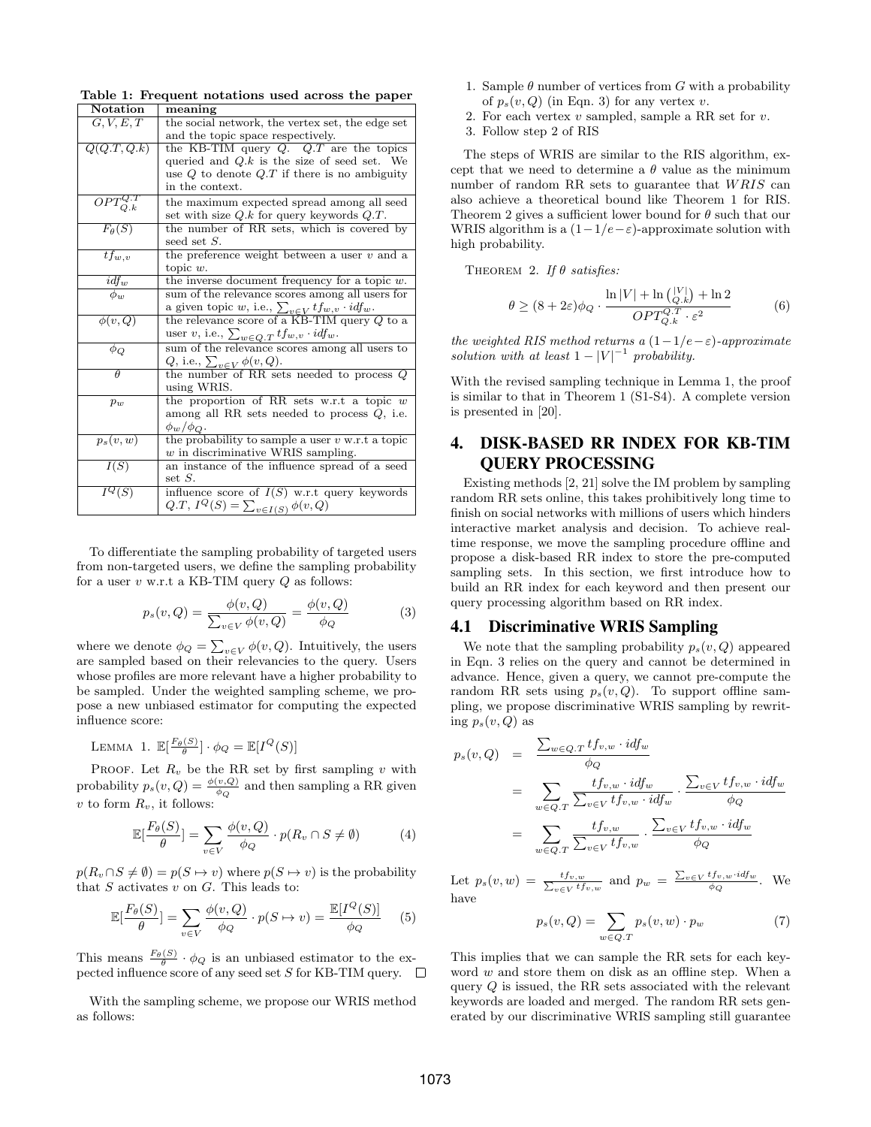Table 1: Frequent notations used across the paper

| Notation          | meaning                                                        |
|-------------------|----------------------------------------------------------------|
| G, V, E, T        | the social network, the vertex set, the edge set               |
|                   | and the topic space respectively.                              |
| Q(Q.T,Q.k)        | the KB-TIM query $Q$ . $Q.T$ are the topics                    |
|                   | queried and $Q.k$ is the size of seed set. We                  |
|                   | use $Q$ to denote $Q.T$ if there is no ambiguity               |
|                   | in the context.                                                |
| $OPT_{Q.k}^{Q.T}$ | the maximum expected spread among all seed                     |
|                   | set with size $Q.k$ for query keywords $Q.T$ .                 |
| $F_{\theta}(S)$   | the number of RR sets, which is covered by                     |
|                   | seed set $S$ .                                                 |
| $tf_{w,v}$        | the preference weight between a user $v$ and a                 |
|                   | topic $w$ .                                                    |
| $idf_w$           | the inverse document frequency for a topic $w$ .               |
| $\phi_w$          | sum of the relevance scores among all users for                |
|                   | a given topic w, i.e., $\sum_{v \in V} tf_{w,v} \cdot idf_w$ . |
| $\phi(v,Q)$       | the relevance score of a KB-TIM query $Q$ to a                 |
|                   | user v, i.e., $\sum_{w \in Q.T} tf_{w,v} \cdot idf_w$ .        |
| $\phi_Q$          | sum of the relevance scores among all users to                 |
|                   | Q, i.e., $\sum_{v \in V} \phi(v, Q)$ .                         |
| $\theta$          | the number of RR sets needed to process $Q$                    |
|                   | using WRIS.                                                    |
| $p_w$             | the proportion of RR sets w.r.t a topic $w$                    |
|                   | among all RR sets needed to process $Q$ , i.e.                 |
|                   | $\phi_w/\phi_Q$ .                                              |
| $p_s(v,w)$        | the probability to sample a user $v$ w.r.t a topic             |
|                   | $w$ in discriminative WRIS sampling.                           |
| I(S)              | an instance of the influence spread of a seed                  |
|                   | set $S$ .                                                      |
| $I^Q(S)$          | influence score of $I(S)$ w.r.t query keywords                 |
|                   | $Q.T, I^{Q}(S) = \sum_{v \in I(S)} \phi(v, Q)$                 |

To differentiate the sampling probability of targeted users from non-targeted users, we define the sampling probability for a user  $v$  w.r.t a KB-TIM query  $Q$  as follows:

$$
p_s(v, Q) = \frac{\phi(v, Q)}{\sum_{v \in V} \phi(v, Q)} = \frac{\phi(v, Q)}{\phi_Q} \tag{3}
$$

where we denote  $\phi_Q = \sum_{v \in V} \phi(v, Q)$ . Intuitively, the users are sampled based on their relevancies to the query. Users whose profiles are more relevant have a higher probability to be sampled. Under the weighted sampling scheme, we propose a new unbiased estimator for computing the expected influence score:

LEMMA 1. 
$$
\mathbb{E}[\frac{F_{\theta}(S)}{\theta}] \cdot \phi_Q = \mathbb{E}[I^Q(S)]
$$

PROOF. Let  $R_v$  be the RR set by first sampling v with probability  $p_s(v, Q) = \frac{\phi(v, Q)}{\phi_Q}$  and then sampling a RR given v to form  $R_v$ , it follows:

$$
\mathbb{E}[\frac{F_{\theta}(S)}{\theta}] = \sum_{v \in V} \frac{\phi(v, Q)}{\phi_Q} \cdot p(R_v \cap S \neq \emptyset)
$$
 (4)

 $p(R_v \cap S \neq \emptyset) = p(S \mapsto v)$  where  $p(S \mapsto v)$  is the probability that  $S$  activates  $v$  on  $G$ . This leads to:

$$
\mathbb{E}\left[\frac{F_{\theta}(S)}{\theta}\right] = \sum_{v \in V} \frac{\phi(v, Q)}{\phi_Q} \cdot p(S \mapsto v) = \frac{\mathbb{E}[I^Q(S)]}{\phi_Q} \tag{5}
$$

This means  $\frac{F_{\theta}(S)}{\theta} \cdot \phi_Q$  is an unbiased estimator to the expected influence score of any seed set S for KB-TIM query.  $\square$ 

With the sampling scheme, we propose our WRIS method as follows:

- 1. Sample  $\theta$  number of vertices from G with a probability of  $p_s(v, Q)$  (in Eqn. 3) for any vertex v.
- 2. For each vertex  $v$  sampled, sample a RR set for  $v$ .
- 3. Follow step 2 of RIS

The steps of WRIS are similar to the RIS algorithm, except that we need to determine a  $\theta$  value as the minimum number of random RR sets to guarantee that WRIS can also achieve a theoretical bound like Theorem 1 for RIS. Theorem 2 gives a sufficient lower bound for  $\theta$  such that our WRIS algorithm is a  $(1-1/e-\varepsilon)$ -approximate solution with high probability.

THEOREM 2. If  $\theta$  satisfies:

$$
\theta \ge (8 + 2\varepsilon)\phi_Q \cdot \frac{\ln|V| + \ln\binom{|V|}{Q,k} + \ln 2}{OPT_{Q,k}^{Q,T} \cdot \varepsilon^2} \tag{6}
$$

the weighted RIS method returns a  $(1-1/e-\varepsilon)$ -approximate solution with at least  $1 - |V|^{-1}$  probability.

With the revised sampling technique in Lemma 1, the proof is similar to that in Theorem 1 (S1-S4). A complete version is presented in [20].

# 4. DISK-BASED RR INDEX FOR KB-TIM QUERY PROCESSING

Existing methods [2, 21] solve the IM problem by sampling random RR sets online, this takes prohibitively long time to finish on social networks with millions of users which hinders interactive market analysis and decision. To achieve realtime response, we move the sampling procedure offline and propose a disk-based RR index to store the pre-computed sampling sets. In this section, we first introduce how to build an RR index for each keyword and then present our query processing algorithm based on RR index.

## 4.1 Discriminative WRIS Sampling

We note that the sampling probability  $p_s(v, Q)$  appeared in Eqn. 3 relies on the query and cannot be determined in advance. Hence, given a query, we cannot pre-compute the random RR sets using  $p_s(v, Q)$ . To support offline sampling, we propose discriminative WRIS sampling by rewriting  $p_s(v, Q)$  as

$$
p_s(v, Q) = \frac{\sum_{w \in Q \cdot T} t f_{v,w} \cdot id f_w}{\phi_Q}
$$
  
= 
$$
\sum_{w \in Q \cdot T} \frac{t f_{v,w} \cdot id f_w}{\sum_{v \in V} t f_{v,w} \cdot id f_w} \cdot \frac{\sum_{v \in V} t f_{v,w} \cdot id f_w}{\phi_Q}
$$
  
= 
$$
\sum_{w \in Q \cdot T} \frac{t f_{v,w}}{\sum_{v \in V} t f_{v,w}} \cdot \frac{\sum_{v \in V} t f_{v,w} \cdot id f_w}{\phi_Q}
$$

Let  $p_s(v, w) = \frac{tf_{v,w}}{\sum_{v \in V} tf_{v,w}}$  and  $p_w = \frac{\sum_{v \in V} tf_{v,w} \cdot idf_w}{\phi_Q}$ . We have

$$
p_s(v, Q) = \sum_{w \in Q \cdot T} p_s(v, w) \cdot p_w \tag{7}
$$

This implies that we can sample the RR sets for each keyword w and store them on disk as an offline step. When a query  $Q$  is issued, the RR sets associated with the relevant keywords are loaded and merged. The random RR sets generated by our discriminative WRIS sampling still guarantee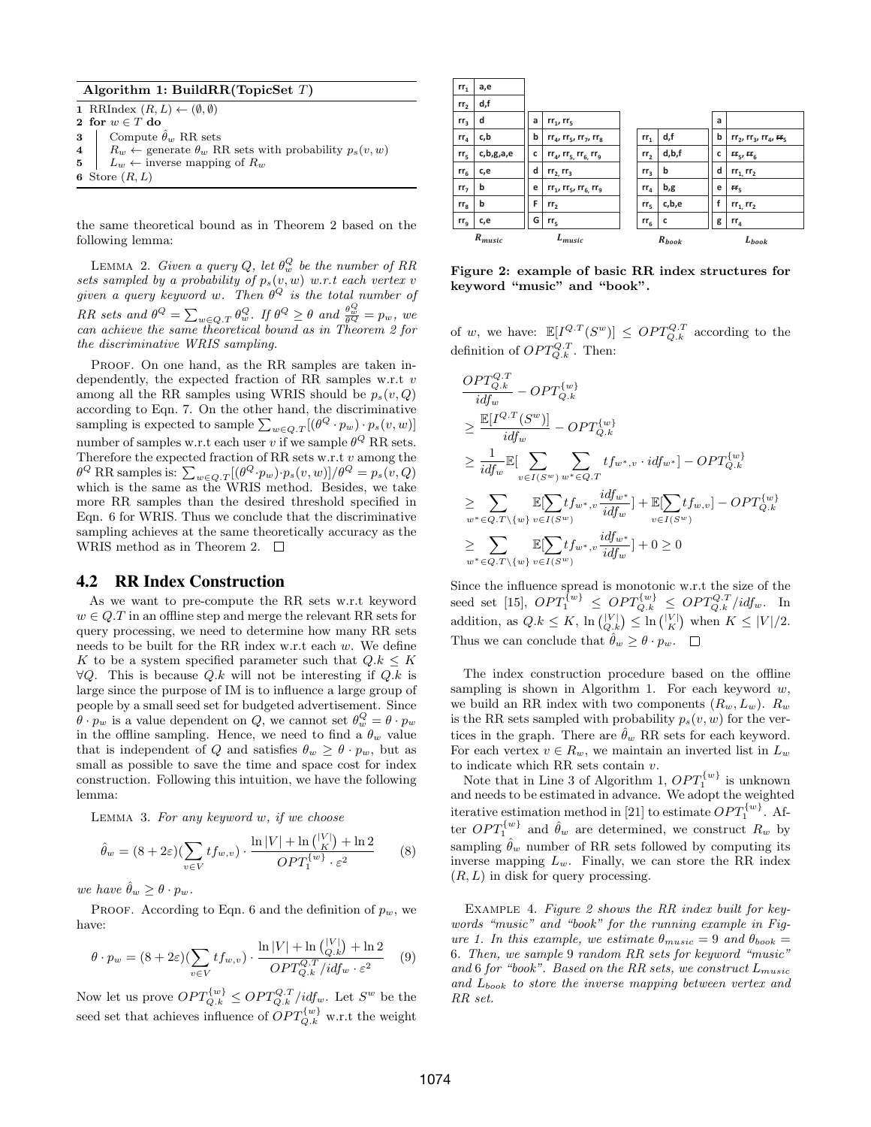| Algorithm 1: BuildRR(TopicSet $T$ ) |  |  |  |  |
|-------------------------------------|--|--|--|--|
|-------------------------------------|--|--|--|--|

| 1 RRIndex $(R, L) \leftarrow (\emptyset, \emptyset)$                          |
|-------------------------------------------------------------------------------|
| 2 for $w \in T$ do                                                            |
| <b>3</b> Compute $\hat{\theta}_w$ RR sets                                     |
| 4   $R_w \leftarrow$ generate $\theta_w$ RR sets with probability $p_s(v, w)$ |
| 5 $\mid L_w \leftarrow$ inverse mapping of $R_w$                              |
| 6 Store $(R, L)$                                                              |
|                                                                               |

the same theoretical bound as in Theorem 2 based on the following lemma:

LEMMA 2. Given a query Q, let  $\theta_w^Q$  be the number of RR sets sampled by a probability of  $p_s(v, w)$  w.r.t each vertex v given a query keyword w. Then  $\theta^{Q}$  is the total number of RR sets and  $\theta^{Q} = \sum_{w \in Q \cdot T} \theta_{w}^{Q}$ . If  $\theta^{Q} \ge \theta$  and  $\frac{\theta_{w}^{Q}}{\theta^{Q}} = p_{w}$ , we can achieve the same theoretical bound as in Theorem 2 for the discriminative WRIS sampling.

PROOF. On one hand, as the RR samples are taken independently, the expected fraction of RR samples w.r.t v among all the RR samples using WRIS should be  $p_s(v, Q)$ according to Eqn. 7. On the other hand, the discriminative sampling is expected to sample  $\sum_{w \in Q,T} [(\theta^Q \cdot p_w) \cdot p_s(v,w)]$ number of samples w.r.t each user v if we sample  $\theta^Q$  RR sets. Therefore the expected fraction of RR sets w.r.t  $v$  among the  $\theta^Q$  RR samples is:  $\sum_{w\in Q,T} [(\theta^Q \cdot p_w) \cdot p_s(v,w)]/\theta^Q = p_s(v,Q)$ which is the same as the WRIS method. Besides, we take more RR samples than the desired threshold specified in Eqn. 6 for WRIS. Thus we conclude that the discriminative sampling achieves at the same theoretically accuracy as the WRIS method as in Theorem 2.  $\Box$ 

#### 4.2 RR Index Construction

As we want to pre-compute the RR sets w.r.t keyword  $w \in Q$ . T in an offline step and merge the relevant RR sets for query processing, we need to determine how many RR sets needs to be built for the RR index w.r.t each w. We define K to be a system specified parameter such that  $Q.k \leq K$  $\forall Q$ . This is because Q.k will not be interesting if Q.k is large since the purpose of IM is to influence a large group of people by a small seed set for budgeted advertisement. Since  $\hat{\theta} \cdot p_w$  is a value dependent on  $Q$ , we cannot set  $\theta_w^Q = \theta \cdot p_w$ in the offline sampling. Hence, we need to find a  $\theta_w$  value that is independent of Q and satisfies  $\theta_w \geq \theta \cdot p_w$ , but as small as possible to save the time and space cost for index construction. Following this intuition, we have the following lemma:

LEMMA 3. For any keyword  $w$ , if we choose

$$
\hat{\theta}_w = (8 + 2\varepsilon)(\sum_{v \in V} t f_{w,v}) \cdot \frac{\ln|V| + \ln\binom{|V|}{K} + \ln 2}{OPT_1^{\{w\}} \cdot \varepsilon^2} \tag{8}
$$

we have  $\hat{\theta}_w \geq \theta \cdot p_w$ .

PROOF. According to Eqn. 6 and the definition of  $p_w$ , we have:

$$
\theta \cdot p_w = (8 + 2\varepsilon) \left( \sum_{v \in V} t f_{w,v} \right) \cdot \frac{\ln|V| + \ln\left(\bigcup_{Q,k}^{|V|}\right) + \ln 2}{OPT_{Q,k}^{Q.T}/i d f_w \cdot \varepsilon^2} \tag{9}
$$

Now let us prove  $OPT_{Q,k}^{\{w\}} \leq OPT_{Q,k}^{Q,T}/idf_w$ . Let  $S^w$  be the seed set that achieves influence of  $OPT_{Q,k}^{\{w\}}$  w.r.t the weight

| rr <sub>1</sub> | a,e         |   |                                           |                 |            |   |                                   |
|-----------------|-------------|---|-------------------------------------------|-----------------|------------|---|-----------------------------------|
| rr <sub>2</sub> | d,f         |   |                                           |                 |            |   |                                   |
| rr <sub>3</sub> | d           | a | $rr_1$ , $rr_5$                           |                 |            | a |                                   |
| rr <sub>4</sub> | c,b         | b | $rr_4$ , $rr_5$ , $rr_7$ , $rr_8$         | rr <sub>1</sub> | d,f        | b | $rr_2$ , $rr_3$ , $rr_4$ , $rr_5$ |
| $rr_{5}$        | c,b,g,a,e   | C | $rr_{4}$ , $rr_{5}$ , $rr_{6}$ , $rr_{9}$ | rr <sub>2</sub> | d,b,f      | c | $rr_5$ , $rr_6$                   |
| $rr_{6}$        | c,e         | d | $rr_2$ , $rr_3$                           | rr <sub>3</sub> | b          | d | $rr_1, rr_2$                      |
| rr <sub>7</sub> | b           | e | $rr_1$ , $rr_5$ , $rr_6$ , $rr_9$         | rr <sub>4</sub> | b,g        | e | rr <sub>5</sub>                   |
| rr <sub>8</sub> | b           | F | rr <sub>2</sub>                           | rr <sub>5</sub> | c,b,e      | f | $rr_1, rr_2$                      |
| $rr_{q}$        | c,e         | G | $rr_{5}$                                  | $rr_{6}$        | $\cdot$ C  | g | $rr_a$                            |
|                 | $R_{music}$ |   | $L_{mustc}$                               |                 | $R_{book}$ |   | $L_{book}$                        |

Figure 2: example of basic RR index structures for keyword "music" and "book".

of w, we have:  $\mathbb{E}[I^{Q,T}(S^w)] \leq OPT_{Q,k}^{Q,T}$  according to the definition of  $OPT_{Q,k}^{Q,T}$ . Then:

$$
\begin{aligned}\n&\frac{OPT_{Q,k}^{Q,T}}{idf_w} - OPT_{Q,k}^{\{w\}} \\
&\geq \frac{\mathbb{E}[I^{Q,T}(S^w)]}{idf_w} - OPT_{Q,k}^{\{w\}} \\
&\geq \frac{1}{idf_w} \mathbb{E}[\sum_{v \in I(S^w)} \sum_{w^* \in Q,T} tf_{w^*,v} \cdot idf_{w^*}] - OPT_{Q,k}^{\{w\}} \\
&\geq \sum_{w^* \in Q,T \setminus \{w\}} \mathbb{E}[\sum_{v \in I(S^w)} tf_{w^*,v} \frac{idf_{w^*}}{idf_w}] + \mathbb{E}[\sum_{v \in I(S^w)} tf_{w,v}] - OPT_{Q,k}^{\{w\}} \\
&\geq \sum_{w^* \in Q,T \setminus \{w\}} \mathbb{E}[\sum_{v \in I(S^w)} tf_{w^*,v} \frac{idf_{w^*}}{idf_w}] + 0 \geq 0\n\end{aligned}
$$

Since the influence spread is monotonic w.r.t the size of the seed set [15],  $OPT_1^{\{w\}} \leq OPT_{Q,k}^{\{w\}} \leq OPT_{Q,k}^{Q,T}/idf_w$ . In addition, as  $Q.k \leq K$ ,  $\ln\binom{|V|}{Q.k} \leq \ln\binom{|V|}{K}$  when  $K \leq |V|/2$ . Thus we can conclude that  $\hat{\theta}_w \geq \theta \cdot p_w$ .  $\Box$ 

The index construction procedure based on the offline sampling is shown in Algorithm 1. For each keyword  $w$ , we build an RR index with two components  $(R_w, L_w)$ .  $R_w$ is the RR sets sampled with probability  $p_s(v, w)$  for the vertices in the graph. There are  $\hat{\theta}_w$  RR sets for each keyword. For each vertex  $v \in R_w$ , we maintain an inverted list in  $L_w$ to indicate which RR sets contain v.

Note that in Line 3 of Algorithm 1,  $OPT_1^{\{w\}}$  is unknown and needs to be estimated in advance. We adopt the weighted iterative estimation method in [21] to estimate  $OPT_1^{\{w\}}$ . After  $OPT_1^{\{w\}}$  and  $\hat{\theta}_w$  are determined, we construct  $R_w$  by sampling  $\hat{\theta}_w$  number of RR sets followed by computing its inverse mapping  $L_w$ . Finally, we can store the RR index  $(R, L)$  in disk for query processing.

Example 4. Figure 2 shows the RR index built for keywords "music" and "book" for the running example in Figure 1. In this example, we estimate  $\theta_{music} = 9$  and  $\theta_{book} =$ 6. Then, we sample 9 random RR sets for keyword "music" and 6 for "book". Based on the RR sets, we construct  $L_{music}$ and  $L_{book}$  to store the inverse mapping between vertex and RR set.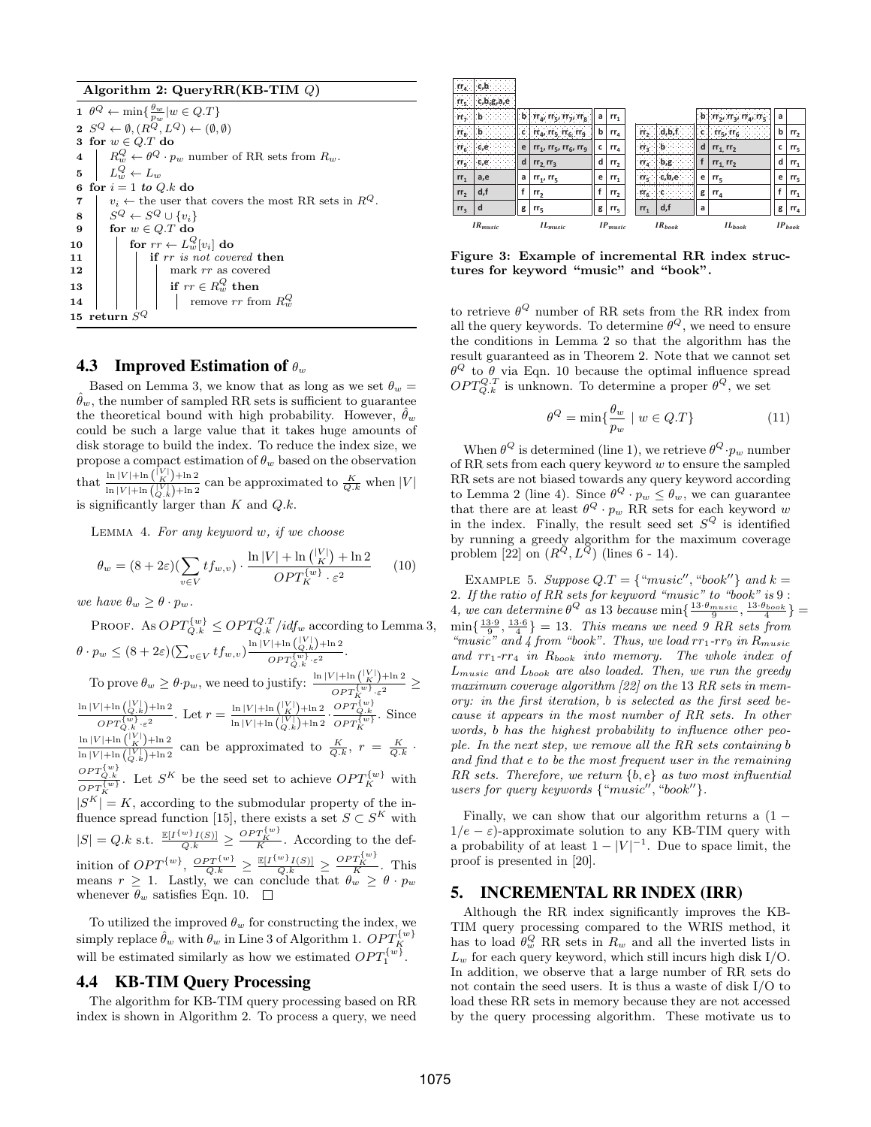Algorithm 2: QueryRR(KB-TIM Q)

1  $\theta^Q \leftarrow \min\{\frac{\theta_w}{p_w} | w \in Q.T\}$  $2 S^Q \leftarrow \emptyset, (R^Q, L^Q) \leftarrow (\emptyset, \emptyset)$ 3 for  $w \in Q.T$  do 4  $\mid R_w^Q \leftarrow \theta^Q \cdot p_w$  number of RR sets from  $R_w$ . 5  $L^Q_w \leftarrow L_w$ 6 for  $i = 1$  to  $Q.k$  do 7  $v_i \leftarrow$  the user that covers the most RR sets in  $R^Q$ .  $\begin{array}{c|c} \mathbf{8} & S^Q \leftarrow S^Q \cup \{v_i\} \\ \mathbf{9} & \text{for } w \in O.T \text{ do} \end{array}$ for  $w \in Q.T$  do  $\begin{array}{|c|c|c|}\hline \text{10} & \text{for } rr \leftarrow L^Q_w[v_i] \text{ do} \ \hline \end{array}$ 11  $\vert \vert$  if rr is not covered then  $12$  | | | mark rr as covered 13 if rr ∈ R Q <sup>w</sup> then 14  $\vert$   $\vert$   $\vert$   $\vert$  remove  $rr$  from  $R_w^Q$ 15 return  $S^Q$ 

## 4.3 Improved Estimation of  $\theta_w$

Based on Lemma 3, we know that as long as we set  $\theta_w =$  $\theta_w$ , the number of sampled RR sets is sufficient to guarantee the theoretical bound with high probability. However,  $\hat{\theta}_w$ could be such a large value that it takes huge amounts of disk storage to build the index. To reduce the index size, we propose a compact estimation of  $\theta_w$  based on the observation that  $\frac{\ln |V| + \ln {|\mathcal{V}| \choose K} + \ln 2}{\frac{\ln |V| + \ln |V| + \ln 2}{\ln |V| + \ln 2}}$  $\frac{\ln |V| + \ln \left(\frac{|V|}{K}\right) + \ln 2}{\ln |V| + \ln \left(\frac{|V|}{K}\right) + \ln 2}$  can be approximated to  $\frac{K}{Q \cdot k}$  when  $|V|$ 

is significantly larger than  $K$  and  $Q.k$ .

Lemma 4. For any keyword w, if we choose

$$
\theta_w = (8 + 2\varepsilon)(\sum_{v \in V} t f_{w,v}) \cdot \frac{\ln|V| + \ln\binom{|V|}{K} + \ln 2}{OPT_K^{\{w\}} \cdot \varepsilon^2} \qquad (10)
$$

we have  $\theta_w \geq \theta \cdot p_w$ .

PROOF. As  $OPT_{Q,k}^{\{w\}} \leq OPT_{Q,k}^{Q,T} / i df_w$  according to Lemma 3,  $\theta \cdot p_w \leq (8+2\varepsilon)(\sum_{v \in V} tf_{w,v}) \frac{\ln |V| + \ln {Q_v \choose Q, k} + \ln 2}{OPT^{\{w\}} - \varepsilon^2}$  $\frac{OPT_{Q.k}^{\{w\}}\cdot \varepsilon^2}{OPT_{Q.k}^{\{w\}}\cdot \varepsilon^2}.$ To prove  $\theta_w \geq \theta \cdot p_w$ , we need to justify:  $\frac{\ln |V| + \ln {|\mathcal{V}| \choose K} + \ln 2}{\log w}$  $\frac{N+m(k) + m^2}{OPT_K^{\{w\}} \cdot \varepsilon^2} \ge$  $\ln |V| + \ln \left( \frac{|V|}{Q \cdot k} \right) + \ln 2$  $\frac{N}{OPT_{Q,k}^{\{w\}}+{\ln 2}}$ . Let  $r = \frac{\ln |V| + \ln { |V| \choose K} + \ln 2}{\ln |V| + \ln { |V| \choose K} + \ln 2}$  $\frac{\ln |V| + \ln \binom{|V|}{K} + \ln 2}{\ln |V| + \ln \binom{|V|}{Q,k} + \ln 2} \cdot \frac{OPT_{Q,k}^{\{w\}}}{OPT_{K}^{\{w\}}}$ . Since  $\ln |V| + \ln \binom{|V|}{K} + \ln 2$  $\frac{\ln |V| + \ln (V \cdot K') + \ln 2}{\ln |V| + \ln (V \cdot K) + \ln 2}$  can be approximated to  $\frac{K}{Q \cdot k}$ ,  $r = \frac{K}{Q \cdot k}$ .  $\frac{OPT_{Q,k}^{\{w\}}}{OPT_K^{\{w\}}}$ . Let  $S^K$  be the seed set to achieve  $OPT_K^{\{w\}}$  with  $|S^K| = K$ , according to the submodular property of the influence spread function [15], there exists a set  $S \subset S^K$  with

 $|S| = Q.k$  s.t.  $\frac{\mathbb{E}[I^{\{w\}}I(S)]}{Q.k} \ge \frac{OPT_K^{\{w\}}}{K}$ . According to the definition of  $OPT^{\{w\}}$ ,  $\frac{OPT^{\{w\}}}{Q,k} \ge \frac{\mathbb{E}[I^{\{w\}}I(S)]}{Q,k} \ge \frac{OPT^{\{w\}}_K}{K}$ . This means  $r \geq 1$ . Lastly, we can conclude that  $\theta_w \geq \theta \cdot p_w$ whenever  $\theta_w$  satisfies Eqn. 10.  $\Box$ 

To utilized the improved  $\theta_w$  for constructing the index, we simply replace  $\hat{\theta}_w$  with  $\theta_w$  in Line 3 of Algorithm 1.  $OPT_K^{\{w\}}$ will be estimated similarly as how we estimated  $OPT_1^{\{w\}}$ .

## 4.4 KB-TIM Query Processing

The algorithm for KB-TIM query processing based on RR index is shown in Algorithm 2. To process a query, we need

| rr <sub>4</sub>            |                     |   |                                           |   |                 |                 |             |    |                           |   |                 |
|----------------------------|---------------------|---|-------------------------------------------|---|-----------------|-----------------|-------------|----|---------------------------|---|-----------------|
| $rr_5$                     |                     |   |                                           |   |                 |                 |             |    |                           |   |                 |
| $rr7$                      |                     | h | $rr_{4}$ , $rr_{5}$ , $rr_{7}$ , $rr_{8}$ | a | $rr_{1}$        |                 |             |    | $\prod_{A}$ , $\prod_{B}$ | a |                 |
| rr <sub>g</sub>            |                     | c | $rr_{4}$ , $rr_{5}$ , $rr_{6}$ , $rr_{9}$ | b | $rr_a$          | rr <sub>2</sub> |             | ۰c | $rr5$ , $rr6$             | b | rr <sub>2</sub> |
| $rr_6$                     |                     | e | $rr_1$ , $rr_5$ , $rr_6$ , $rr_9$         | c | rr <sub>4</sub> | rr <sub>3</sub> |             | d  | $rr_1$ , $rr_2$           | c | $rr_{5}$        |
| $\mathbf{r}\mathbf{r}_9$ . | c,e                 | d | $rr_2, rr_3$                              | d | rr <sub>2</sub> | $rr_a$          |             | f  | $rr_1, rr_2$              | d | $rr_{1}$        |
| $rr_1$                     | a,e                 | a | $rr_1, rr_5$                              | e | $rr_{1}$        | rr,             |             | e  | $rr_{5}$                  | e | $rr_{5}$        |
| rr <sub>2</sub>            | d,f                 |   | rr <sub>2</sub>                           |   | rr <sub>2</sub> | $rr_5$ .        |             | g  | $rr_{4}$                  |   | $rr_{1}$        |
| rr <sub>3</sub>            | d                   | g | $rr_{5}$                                  | g | $rr_{5}$        | $rr_{1}$        | d,f         | a  |                           | g | $rr_a$          |
|                            | IR <sub>music</sub> |   | $IL_{mustc}$                              |   | $IP_{musc}$     |                 | $IR_{book}$ |    | $IL_{book}$               |   | $IP_{book}$     |

Figure 3: Example of incremental RR index structures for keyword "music" and "book".

to retrieve  $\theta^Q$  number of RR sets from the RR index from all the query keywords. To determine  $\theta^Q$ , we need to ensure the conditions in Lemma 2 so that the algorithm has the result guaranteed as in Theorem 2. Note that we cannot set  $\theta^Q$  to  $\theta$  via Eqn. 10 because the optimal influence spread  $OPT_{Q,k}^{Q,T}$  is unknown. To determine a proper  $\theta^Q$ , we set

$$
\theta^{Q} = \min\{\frac{\theta_w}{p_w} \mid w \in Q.T\}
$$
 (11)

When  $\theta^{Q}$  is determined (line 1), we retrieve  $\theta^{Q} \cdot p_{w}$  number of RR sets from each query keyword  $w$  to ensure the sampled RR sets are not biased towards any query keyword according to Lemma 2 (line 4). Since  $\theta^Q \cdot p_w \le \theta_w$ , we can guarantee that there are at least  $\theta^Q \cdot p_w$  RR sets for each keyword w in the index. Finally, the result seed set  $S^Q$  is identified by running a greedy algorithm for the maximum coverage problem [22] on  $(R^Q, L^Q)$  (lines 6 - 14).

EXAMPLE 5. Suppose  $Q.T = \{$  "music", "book" } and k = 2. If the ratio of RR sets for keyword "music" to "book" is 9 : 4, we can determine  $\theta^Q$  as 13 because  $\min\{\frac{13 \cdot \theta_{music}}{9}, \frac{13 \cdot \theta_{book}}{4}\}$  =  $\min\{\frac{13\cdot 9}{9},\frac{13\cdot 6}{4}\}=13.$  This means we need 9 RR sets from "music" and  $4$  from "book". Thus, we load  $rr_1$ - $rr_9$  in  $R_{music}$ and  $rr_1-rr_4$  in  $R_{book}$  into memory. The whole index of  $L_{music}$  and  $L_{book}$  are also loaded. Then, we run the greedy maximum coverage algorithm  $[22]$  on the 13 RR sets in memory: in the first iteration, b is selected as the first seed because it appears in the most number of RR sets. In other words, b has the highest probability to influence other people. In the next step, we remove all the RR sets containing b and find that e to be the most frequent user in the remaining  $RR \; sets.$  Therefore, we return  $\{b, e\}$  as two most influential users for query keywords  ${``music''}, "book"$ .

Finally, we can show that our algorithm returns a  $(1 1/e - \varepsilon$ )-approximate solution to any KB-TIM query with a probability of at least  $1 - |V|^{-1}$ . Due to space limit, the proof is presented in [20].

## 5. INCREMENTAL RR INDEX (IRR)

Although the RR index significantly improves the KB-TIM query processing compared to the WRIS method, it has to load  $\theta_w^Q$  RR sets in  $R_w$  and all the inverted lists in  $L_w$  for each query keyword, which still incurs high disk I/O. In addition, we observe that a large number of RR sets do not contain the seed users. It is thus a waste of disk I/O to load these RR sets in memory because they are not accessed by the query processing algorithm. These motivate us to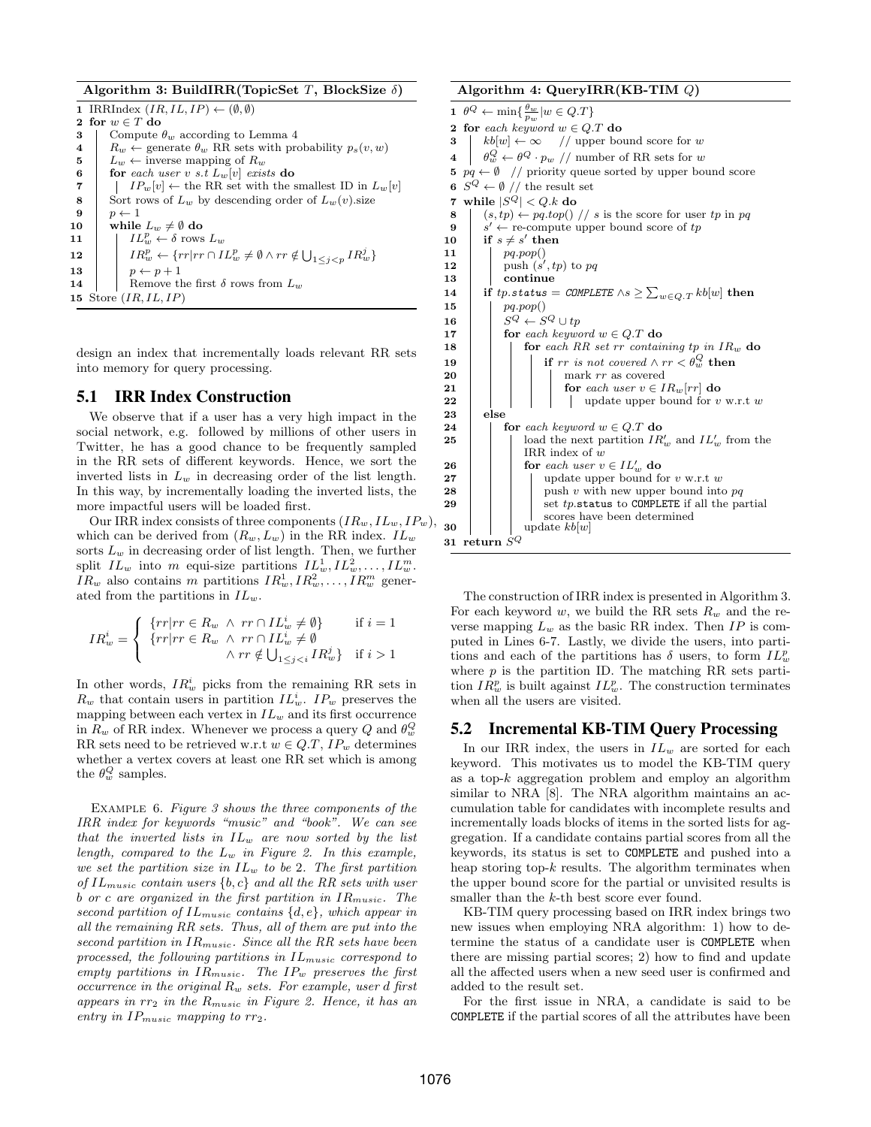Algorithm 3: BuildIRR(TopicSet T, BlockSize  $\delta$ )

1 IRRIndex  $(IR, IL, IP) \leftarrow (\emptyset, \emptyset)$ 2 for  $w \in T$  do 3 Compute  $\theta_w$  according to Lemma 4 4  $R_w \leftarrow$  generate  $\theta_w$  RR sets with probability  $p_s(v, w)$ <br>5  $L_w \leftarrow$  inverse mapping of  $R_w$ 5  $L_w \leftarrow$  inverse mapping of  $R_w$ <br>6 for each user v s.t  $L_w[v]$  exis for each user v s.t  $L_w[v]$  exists do 7 |  $IP_w[v] \leftarrow$  the RR set with the smallest ID in  $L_w[v]$ 8 Sort rows of  $L_w$  by descending order of  $L_w(v)$  size  $\begin{array}{c|c} 9 & p \leftarrow 1 \\ \hline 10 & \text{while} \end{array}$ while  $L_w \neq \emptyset$  do 11  $IL_w^p \leftarrow \delta$  rows  $L_w$  $12 \quad | \quad IR_w^p \leftarrow \{rr|rr \cap IL_w^p \neq \emptyset \wedge rr \notin \bigcup_{1 \leq j < p} IR_w^j \}$ 13 |  $p \leftarrow p+1$ 14 | Remove the first  $\delta$  rows from  $L_w$ 15 Store  $(IR, IL, IP)$ 

design an index that incrementally loads relevant RR sets into memory for query processing.

## 5.1 IRR Index Construction

We observe that if a user has a very high impact in the social network, e.g. followed by millions of other users in Twitter, he has a good chance to be frequently sampled in the RR sets of different keywords. Hence, we sort the inverted lists in  $L_w$  in decreasing order of the list length. In this way, by incrementally loading the inverted lists, the more impactful users will be loaded first.

Our IRR index consists of three components  $(IR_w, IL_w, IP_w)$ , which can be derived from  $(R_w, L_w)$  in the RR index.  $IL_w$ sorts  $L_w$  in decreasing order of list length. Then, we further split  $IL_w$  into m equi-size partitions  $IL_w^1, IL_w^2, \ldots, IL_w^m$ .  $IR_w$  also contains m partitions  $IR_w^1, IR_w^2, \ldots, IR_w^m$  generated from the partitions in  $IL_w$ .

$$
IR_w^i = \left\{ \begin{array}{ll} \{rr|rr \in R_w \ \land \ rr \cap IL_w^i \neq \emptyset\} & \text{if } i = 1\\ \{rr|rr \in R_w \ \land \ rr \cap IL_w^i \neq \emptyset\\ & \land rr \notin \bigcup_{1 \leq j < i} IR_w^j \} & \text{if } i > 1 \end{array} \right.
$$

In other words,  $IR_w^i$  picks from the remaining RR sets in  $R_w$  that contain users in partition  $IL_w^i$ .  $IP_w$  preserves the mapping between each vertex in  $IL_w$  and its first occurrence in  $R_w$  of RR index. Whenever we process a query Q and  $\theta_w^Q$ RR sets need to be retrieved w.r.t  $w \in Q.T$ ,  $IP_w$  determines whether a vertex covers at least one RR set which is among the  $\theta_w^Q$  samples.

Example 6. Figure 3 shows the three components of the IRR index for keywords "music" and "book". We can see that the inverted lists in  $IL_w$  are now sorted by the list length, compared to the  $L_w$  in Figure 2. In this example, we set the partition size in  $IL_w$  to be 2. The first partition of  $IL_{music}$  contain users  $\{b, c\}$  and all the RR sets with user b or c are organized in the first partition in  $IR<sub>music</sub>$ . The second partition of  $IL_{music}$  contains  $\{d, e\}$ , which appear in all the remaining RR sets. Thus, all of them are put into the second partition in  $IR_{music}$ . Since all the RR sets have been processed, the following partitions in  $IL_{music}$  correspond to empty partitions in  $IR_{music}$ . The  $IP_w$  preserves the first occurrence in the original  $R_w$  sets. For example, user d first appears in  $rr_2$  in the  $R_{music}$  in Figure 2. Hence, it has an entry in  $IP_{music}$  mapping to  $rr_2$ .

#### Algorithm 4: QueryIRR(KB-TIM Q)

1  $\theta^Q \leftarrow \min\{\frac{\theta_w}{p_w} | w \in Q.T\}$ 2 for each keyword  $w \in Q.T$  do 3 |  $kb[w] \leftarrow \infty$  // upper bound score for w 4  $\theta_w^Q \leftarrow \theta^Q \cdot p_w / \mu$  number of RR sets for w 5  $pq \leftarrow \emptyset$  // priority queue sorted by upper bound score 6  $S^Q \leftarrow \emptyset$  // the result set 7 while  $|\bar{S}^Q| < Q.k$  do 8 (s, tp)  $\leftarrow$  pq.top() // s is the score for user tp in pq 9  $s' \leftarrow$  re-compute upper bound score of tp 10 if  $s \neq s'$  then 11  $pq.pop()$ 12 | push  $(s', tp)$  to pq 13 continue 14 if tp.status = COMPLETE  $\wedge s \geq \sum_{w \in Q,T} kb[w]$  then 15 |  $pq.pop()$ 16  $S^Q \leftarrow S^Q \cup tp$ <br>17 for each keywo for each keyword  $w \in Q.T$  do 18 **for each RR** set  $rr$  containing  $tp$  in  $IR_w$  do  $\begin{array}{|c|c|c|c|}\hline \textbf{19} & & \textbf{if} & \textbf{if} & \textbf{if} & \textbf{if} & \textbf{not} & \textbf{covered} \wedge \textbf{r} \tau < \theta_w^Q \textbf{ then} \hline \end{array}$ 20 | | | | mark rr as covered 21 **for** each user  $v \in IR_w[rr]$  do 22 | | | | | update upper bound for  $v \text{ w.r.t } w$ 23 else 24 for each keyword  $w \in Q.T$  do **25**  $\Box$   $\Box$  load the next partition  $IR'_w$  and  $IL'_w$  from the IRR index of w 26 **for** each user  $v \in IL'_w$  do 27 | | | | update upper bound for  $v \le x$ .t w 28 **push v** with new upper bound into  $pq$ 29  $\vert$   $\vert$  set tp.status to COMPLETE if all the partial **30** update  $kb[w]$ 31 return  ${\cal S}^{\cal Q}$ 

The construction of IRR index is presented in Algorithm 3. For each keyword w, we build the RR sets  $R_w$  and the reverse mapping  $L_w$  as the basic RR index. Then  $IP$  is computed in Lines 6-7. Lastly, we divide the users, into partitions and each of the partitions has  $\delta$  users, to form  $IL_w^p$ where  $p$  is the partition ID. The matching RR sets partition  $IR_w^p$  is built against  $IL_w^p$ . The construction terminates when all the users are visited.

## 5.2 Incremental KB-TIM Query Processing

In our IRR index, the users in  $IL_w$  are sorted for each keyword. This motivates us to model the KB-TIM query as a top- $k$  aggregation problem and employ an algorithm similar to NRA [8]. The NRA algorithm maintains an accumulation table for candidates with incomplete results and incrementally loads blocks of items in the sorted lists for aggregation. If a candidate contains partial scores from all the keywords, its status is set to COMPLETE and pushed into a heap storing top- $k$  results. The algorithm terminates when the upper bound score for the partial or unvisited results is smaller than the k-th best score ever found.

KB-TIM query processing based on IRR index brings two new issues when employing NRA algorithm: 1) how to determine the status of a candidate user is COMPLETE when there are missing partial scores; 2) how to find and update all the affected users when a new seed user is confirmed and added to the result set.

For the first issue in NRA, a candidate is said to be COMPLETE if the partial scores of all the attributes have been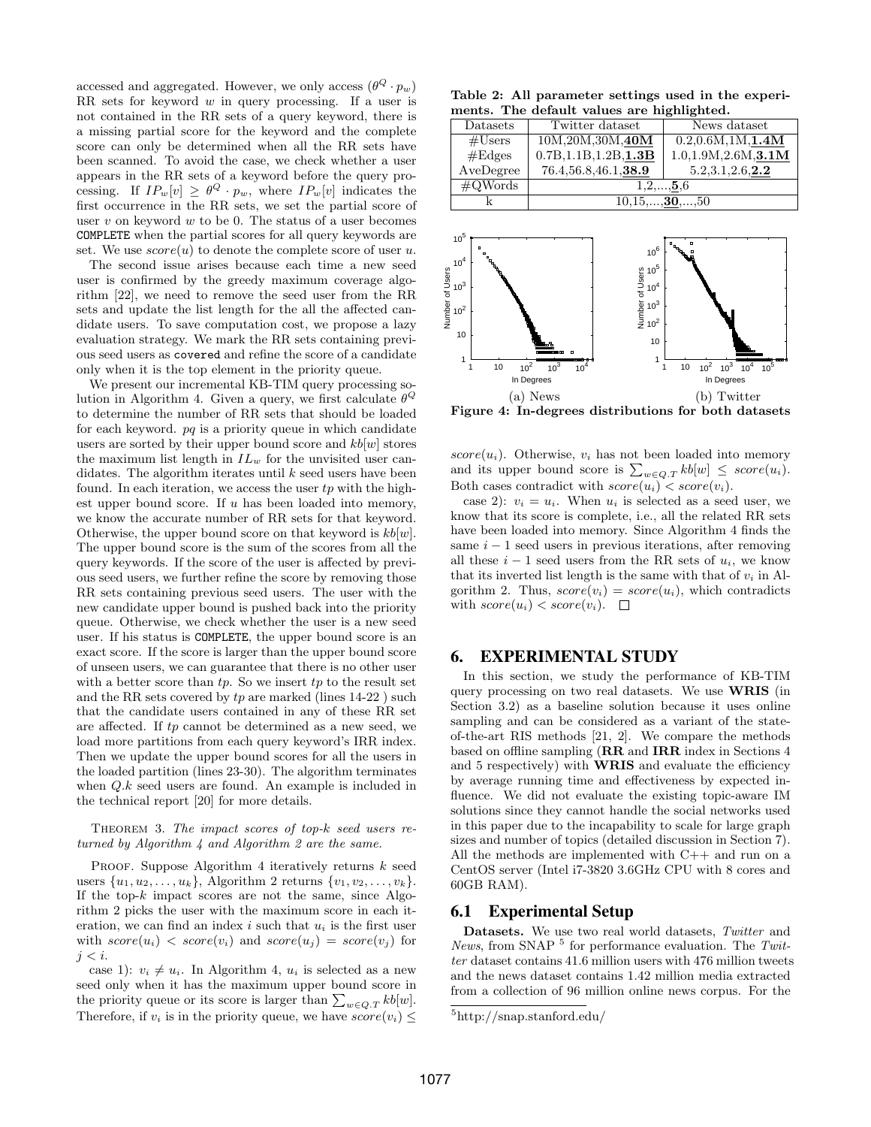accessed and aggregated. However, we only access  $(\theta^Q \cdot p_w)$ RR sets for keyword  $w$  in query processing. If a user is not contained in the RR sets of a query keyword, there is a missing partial score for the keyword and the complete score can only be determined when all the RR sets have been scanned. To avoid the case, we check whether a user appears in the RR sets of a keyword before the query processing. If  $IP_w[v] \geq \theta^Q \cdot p_w$ , where  $IP_w[v]$  indicates the first occurrence in the RR sets, we set the partial score of user  $v$  on keyword  $w$  to be 0. The status of a user becomes COMPLETE when the partial scores for all query keywords are set. We use  $score(u)$  to denote the complete score of user u.

The second issue arises because each time a new seed user is confirmed by the greedy maximum coverage algorithm [22], we need to remove the seed user from the RR sets and update the list length for the all the affected candidate users. To save computation cost, we propose a lazy evaluation strategy. We mark the RR sets containing previous seed users as covered and refine the score of a candidate only when it is the top element in the priority queue.

We present our incremental KB-TIM query processing solution in Algorithm 4. Given a query, we first calculate  $\theta^Q$ to determine the number of RR sets that should be loaded for each keyword.  $pq$  is a priority queue in which candidate users are sorted by their upper bound score and  $kb[w]$  stores the maximum list length in  $IL_w$  for the unvisited user candidates. The algorithm iterates until  $k$  seed users have been found. In each iteration, we access the user  $tp$  with the highest upper bound score. If  $u$  has been loaded into memory, we know the accurate number of RR sets for that keyword. Otherwise, the upper bound score on that keyword is  $kb[w]$ . The upper bound score is the sum of the scores from all the query keywords. If the score of the user is affected by previous seed users, we further refine the score by removing those RR sets containing previous seed users. The user with the new candidate upper bound is pushed back into the priority queue. Otherwise, we check whether the user is a new seed user. If his status is COMPLETE, the upper bound score is an exact score. If the score is larger than the upper bound score of unseen users, we can guarantee that there is no other user with a better score than  $tp$ . So we insert  $tp$  to the result set and the RR sets covered by  $tp$  are marked (lines  $14-22$ ) such that the candidate users contained in any of these RR set are affected. If tp cannot be determined as a new seed, we load more partitions from each query keyword's IRR index. Then we update the upper bound scores for all the users in the loaded partition (lines 23-30). The algorithm terminates when Q.k seed users are found. An example is included in the technical report [20] for more details.

THEOREM 3. The impact scores of top- $k$  seed users returned by Algorithm 4 and Algorithm 2 are the same.

PROOF. Suppose Algorithm 4 iteratively returns  $k$  seed users  $\{u_1, u_2, \ldots, u_k\}$ , Algorithm 2 returns  $\{v_1, v_2, \ldots, v_k\}$ . If the top- $k$  impact scores are not the same, since Algorithm 2 picks the user with the maximum score in each iteration, we can find an index  $i$  such that  $u_i$  is the first user with  $score(u_i) < score(v_i)$  and  $score(u_j) = score(v_j)$  for  $j < i$ .

case 1):  $v_i \neq u_i$ . In Algorithm 4,  $u_i$  is selected as a new seed only when it has the maximum upper bound score in the priority queue or its score is larger than  $\sum_{w \in Q,T} kb[w]$ . Therefore, if  $v_i$  is in the priority queue, we have  $score(v_i) \leq$ 

Table 2: All parameter settings used in the experiments. The default values are highlighted.

| Datasets          | Twitter dataset                  | News dataset          |  |  |  |  |  |  |  |
|-------------------|----------------------------------|-----------------------|--|--|--|--|--|--|--|
| #Users            | 10M, 20M, 30M, 40M               | 0.2, 0.6M, 1M, 1.4M   |  |  |  |  |  |  |  |
| #Edges            | 0.7B, 1.1B, 1.2B, 1.3B           | 1.0, 1.9M, 2.6M, 3.1M |  |  |  |  |  |  |  |
| AveDegree         | 76.4,56.8,46.1,38.9              | 5.2,3.1,2.6,2.2       |  |  |  |  |  |  |  |
| $\text{\#QWords}$ | $1, 2, \ldots, 5, 6$             |                       |  |  |  |  |  |  |  |
|                   | $10, 15, \ldots, 30, \ldots, 50$ |                       |  |  |  |  |  |  |  |



Figure 4: In-degrees distributions for both datasets

 $score(u_i)$ . Otherwise,  $v_i$  has not been loaded into memory and its upper bound score is  $\sum_{w \in Q,T} kb[w] \leq score(u_i)$ . Both cases contradict with  $score(u_i) < score(v_i)$ .

case 2):  $v_i = u_i$ . When  $u_i$  is selected as a seed user, we know that its score is complete, i.e., all the related RR sets have been loaded into memory. Since Algorithm 4 finds the same  $i - 1$  seed users in previous iterations, after removing all these  $i - 1$  seed users from the RR sets of  $u_i$ , we know that its inverted list length is the same with that of  $v_i$  in Algorithm 2. Thus,  $score(v_i) = score(u_i)$ , which contradicts with  $score(u_i) < score(v_i)$ .  $\Box$ 

## 6. EXPERIMENTAL STUDY

In this section, we study the performance of KB-TIM query processing on two real datasets. We use WRIS (in Section 3.2) as a baseline solution because it uses online sampling and can be considered as a variant of the stateof-the-art RIS methods [21, 2]. We compare the methods based on offline sampling (RR and IRR index in Sections 4 and 5 respectively) with WRIS and evaluate the efficiency by average running time and effectiveness by expected influence. We did not evaluate the existing topic-aware IM solutions since they cannot handle the social networks used in this paper due to the incapability to scale for large graph sizes and number of topics (detailed discussion in Section 7). All the methods are implemented with C++ and run on a CentOS server (Intel i7-3820 3.6GHz CPU with 8 cores and 60GB RAM).

## 6.1 Experimental Setup

Datasets. We use two real world datasets, Twitter and News, from SNAP  $^5$  for performance evaluation. The Twitter dataset contains 41.6 million users with 476 million tweets and the news dataset contains 1.42 million media extracted from a collection of 96 million online news corpus. For the

<sup>5</sup>http://snap.stanford.edu/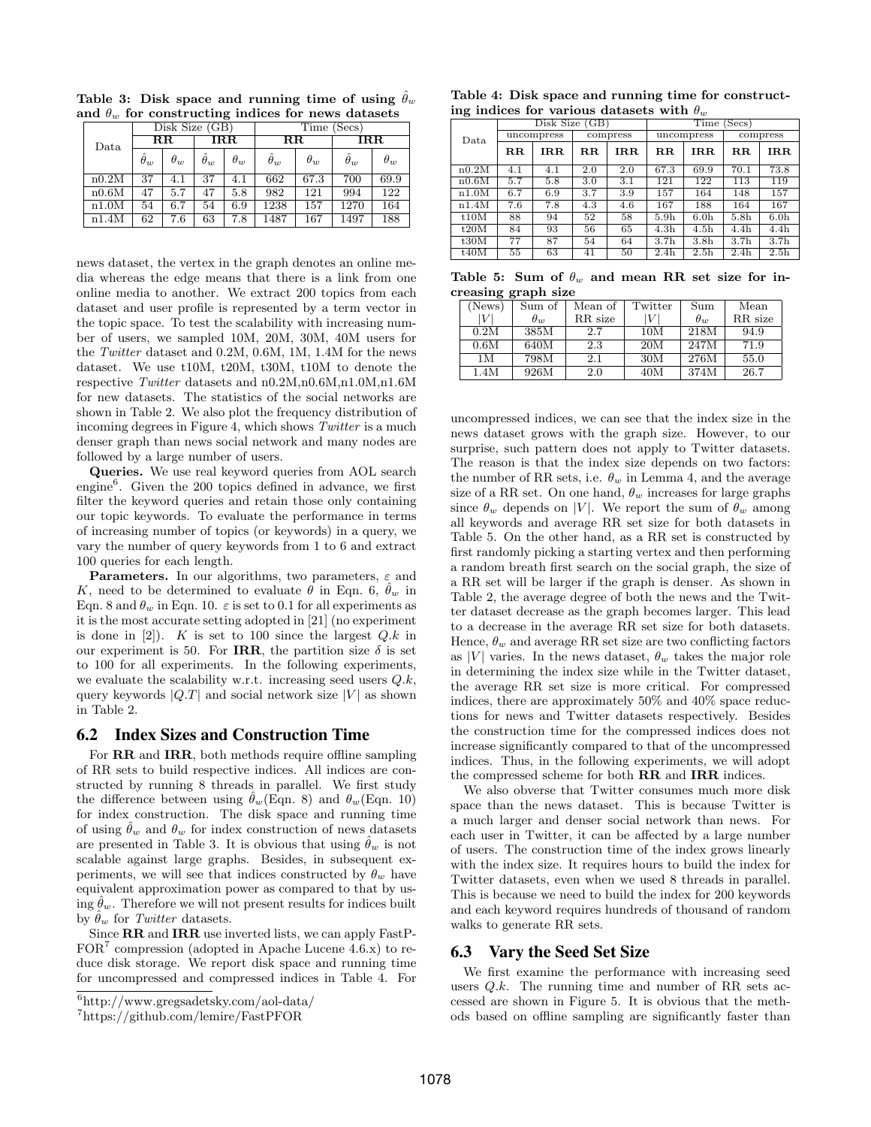|       |                  | Disk Size (GB) |                  |            | (Secs)<br>Time   |            |                         |            |  |
|-------|------------------|----------------|------------------|------------|------------------|------------|-------------------------|------------|--|
| Data  |                  | $_{\rm RR}$    | $_{\rm IRR}$     |            | $_{\rm RR}$      |            | $\overline{\text{IRR}}$ |            |  |
|       | $\hat{\theta}_w$ | $\theta_w$     | $\hat{\theta}_w$ | $\theta_w$ | $\hat{\theta}_w$ | $\theta_w$ | $\hat{\theta}_w$        | $\theta_w$ |  |
| n0.2M | 37               | 4.1            | 37               | 4.1        | 662              | 67.3       | 700                     | 69.9       |  |
| n0.6M | 47               | 5.7            | 47               | 5.8        | 982              | 121        | 994                     | 122        |  |
| n1.0M | 54               | 6.7            | 54               | 6.9        | 1238             | 157        | 1270                    | 164        |  |
| n1.4M | 62               | 7.6            | 63               | 7.8        | 1487             | 167        | 1497                    | 188        |  |

Table 3: Disk space and running time of using  $\hat{\theta}_w$ and  $\theta_w$  for constructing indices for news datasets

news dataset, the vertex in the graph denotes an online media whereas the edge means that there is a link from one online media to another. We extract 200 topics from each dataset and user profile is represented by a term vector in the topic space. To test the scalability with increasing number of users, we sampled 10M, 20M, 30M, 40M users for the Twitter dataset and 0.2M, 0.6M, 1M, 1.4M for the news dataset. We use t10M, t20M, t30M, t10M to denote the respective Twitter datasets and n0.2M,n0.6M,n1.0M,n1.6M for new datasets. The statistics of the social networks are shown in Table 2. We also plot the frequency distribution of incoming degrees in Figure 4, which shows Twitter is a much denser graph than news social network and many nodes are followed by a large number of users.

Queries. We use real keyword queries from AOL search engine<sup>6</sup>. Given the 200 topics defined in advance, we first filter the keyword queries and retain those only containing our topic keywords. To evaluate the performance in terms of increasing number of topics (or keywords) in a query, we vary the number of query keywords from 1 to 6 and extract 100 queries for each length.

**Parameters.** In our algorithms, two parameters,  $\varepsilon$  and K, need to be determined to evaluate  $\theta$  in Eqn. 6,  $\hat{\theta}_w$  in Eqn. 8 and  $\theta_w$  in Eqn. 10.  $\varepsilon$  is set to 0.1 for all experiments as it is the most accurate setting adopted in [21] (no experiment is done in  $[2]$ ). K is set to 100 since the largest  $Q.k$  in our experiment is 50. For IRR, the partition size  $\delta$  is set to 100 for all experiments. In the following experiments, we evaluate the scalability w.r.t. increasing seed users  $Q.k$ , query keywords  $|Q,T|$  and social network size  $|V|$  as shown in Table 2.

## 6.2 Index Sizes and Construction Time

For  $\mathbf{RR}$  and  $\mathbf{IRR}$ , both methods require offline sampling of RR sets to build respective indices. All indices are constructed by running 8 threads in parallel. We first study the difference between using  $\ddot{\theta}_w(\text{Eqn. 8})$  and  $\theta_w(\text{Eqn. 10})$ for index construction. The disk space and running time of using  $\ddot{\theta}_w$  and  $\theta_w$  for index construction of news datasets are presented in Table 3. It is obvious that using  $\ddot{\theta}_w$  is not scalable against large graphs. Besides, in subsequent experiments, we will see that indices constructed by  $\theta_w$  have equivalent approximation power as compared to that by using  $\theta_w$ . Therefore we will not present results for indices built by  $\theta_w$  for Twitter datasets.

Since RR and IRR use inverted lists, we can apply FastP- $FOR<sup>7</sup>$  compression (adopted in Apache Lucene 4.6.x) to reduce disk storage. We report disk space and running time for uncompressed and compressed indices in Table 4. For

| Table 4: Disk space and running time for construct- |
|-----------------------------------------------------|
| ing indices for various datasets with $\theta_w$    |

|       |                         | Disk Size (GB) |      |          | Time<br>(Secs)   |                  |                  |                  |
|-------|-------------------------|----------------|------|----------|------------------|------------------|------------------|------------------|
| Data. |                         | uncompress     |      | compress |                  | uncompress       | compress         |                  |
|       | $\mathbf{R} \mathbf{R}$ | IR.R.          | R.R. | IR.R.    | R.R.             | IR.R.            | R.R.             | $_{\rm IRR}$     |
| n0.2M | 4.1                     | 4.1            | 2.0  | 2.0      | 67.3             | 69.9             | 70.1             | 73.8             |
| n0.6M | 5.7                     | 5.8            | 3.0  | 3.1      | 121              | 122              | 113              | 119              |
| n1.0M | 6.7                     | 6.9            | 3.7  | 3.9      | 157              | 164              | 148              | 157              |
| n1.4M | 7.6                     | 7.8            | 4.3  | 4.6      | 167              | 188              | 164              | 167              |
| t10M  | 88                      | 94             | 52   | 58       | 5.9 <sub>h</sub> | 6.0 <sub>h</sub> | 5.8 <sub>h</sub> | 6.0 <sub>h</sub> |
| t20M  | 84                      | 93             | 56   | 65       | 4.3 <sub>h</sub> | 4.5 <sub>h</sub> | 4.4 <sub>h</sub> | 4.4 <sub>h</sub> |
| t30M  | 77                      | 87             | 54   | 64       | 3.7 <sub>h</sub> | 3.8 <sub>h</sub> | 3.7 <sub>h</sub> | 3.7 <sub>h</sub> |
| t40M  | 55                      | 63             | 41   | 50       | 2.4 <sub>h</sub> | 2.5 <sub>h</sub> | 2.4 <sub>h</sub> | 2.5 <sub>h</sub> |

Table 5: Sum of  $\theta_w$  and mean RR set size for increasing graph size

| - -    |              |         |         |                 |         |
|--------|--------------|---------|---------|-----------------|---------|
| (News) | Sum of       | Mean of | Twitter | Sum             | Mean    |
|        | $\theta_{w}$ | RR size |         | $\theta_{\eta}$ | RR size |
| 0.2M   | 385M         | 2.7     | 10M     | 218M            | 94.9    |
| 0.6M   | 640M         | 2.3     | 20M     | 247M            | 71.9    |
| 1 M    | 798M         | $2.1\,$ | 30M     | 276M            | 55.0    |
| 1.4M   | 926M         | $2.0\,$ | 40M     | 374M            | 26.7    |

uncompressed indices, we can see that the index size in the news dataset grows with the graph size. However, to our surprise, such pattern does not apply to Twitter datasets. The reason is that the index size depends on two factors: the number of RR sets, i.e.  $\theta_w$  in Lemma 4, and the average size of a RR set. On one hand,  $\theta_w$  increases for large graphs since  $\theta_w$  depends on |V|. We report the sum of  $\theta_w$  among all keywords and average RR set size for both datasets in Table 5. On the other hand, as a RR set is constructed by first randomly picking a starting vertex and then performing a random breath first search on the social graph, the size of a RR set will be larger if the graph is denser. As shown in Table 2, the average degree of both the news and the Twitter dataset decrease as the graph becomes larger. This lead to a decrease in the average RR set size for both datasets. Hence,  $\theta_w$  and average RR set size are two conflicting factors as |V| varies. In the news dataset,  $\theta_w$  takes the major role in determining the index size while in the Twitter dataset, the average RR set size is more critical. For compressed indices, there are approximately 50% and 40% space reductions for news and Twitter datasets respectively. Besides the construction time for the compressed indices does not increase significantly compared to that of the uncompressed indices. Thus, in the following experiments, we will adopt the compressed scheme for both RR and IRR indices.

We also obverse that Twitter consumes much more disk space than the news dataset. This is because Twitter is a much larger and denser social network than news. For each user in Twitter, it can be affected by a large number of users. The construction time of the index grows linearly with the index size. It requires hours to build the index for Twitter datasets, even when we used 8 threads in parallel. This is because we need to build the index for 200 keywords and each keyword requires hundreds of thousand of random walks to generate RR sets.

# 6.3 Vary the Seed Set Size

We first examine the performance with increasing seed users  $Q.k$ . The running time and number of RR sets accessed are shown in Figure 5. It is obvious that the methods based on offline sampling are significantly faster than

<sup>6</sup>http://www.gregsadetsky.com/aol-data/

<sup>7</sup>https://github.com/lemire/FastPFOR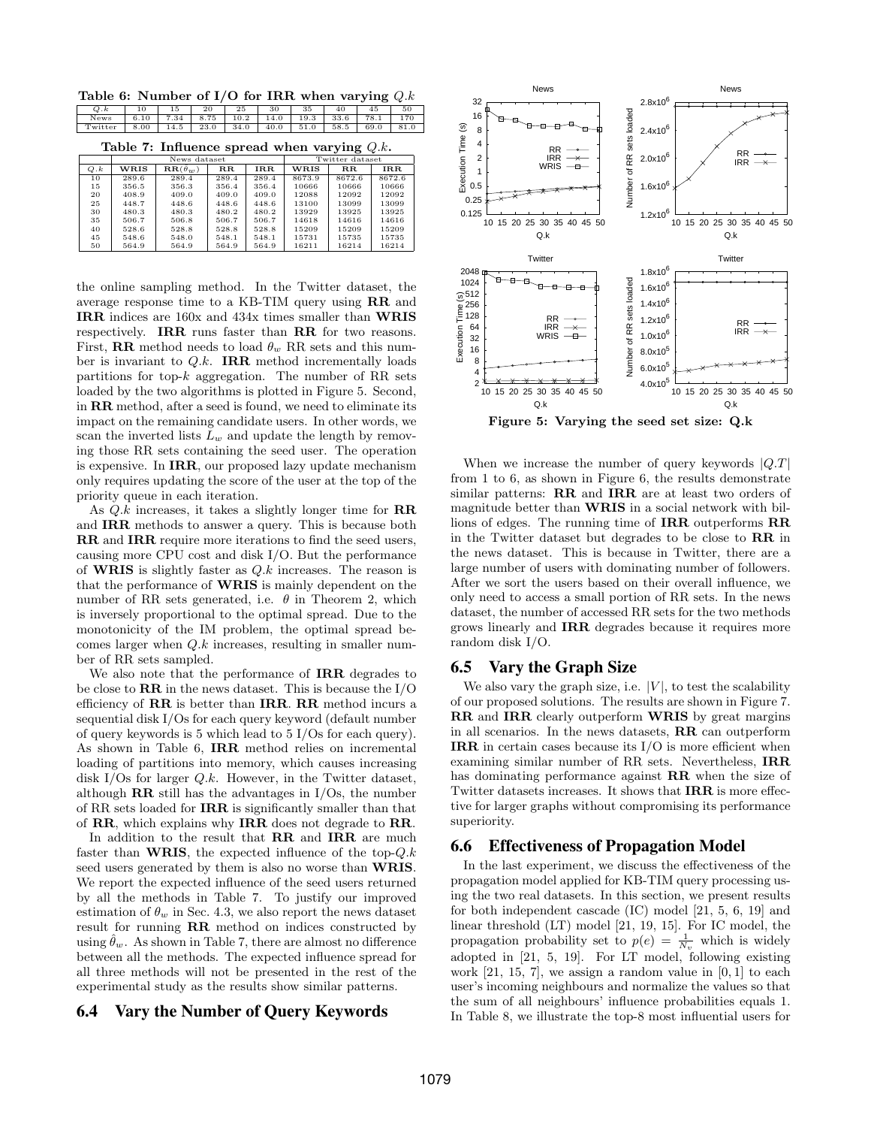Table 6: Number of I/O for IRR when varying  $Q$  $Q.k$  | 10 | 15 | 20 | 25 | 30 | 35 | 40 | 45 | 50

| News   6.10   7.34   8.75   10.2   14.0   19.3   33.6   78.1   170 |  |  |  |  |  |
|--------------------------------------------------------------------|--|--|--|--|--|
| Twitter 8.00 14.5 23.0 34.0 40.0 51.0 58.5 69.0 81.0               |  |  |  |  |  |
|                                                                    |  |  |  |  |  |

| Table 7: Influence spread when varying $Q.k$ . |  |  |  |  |
|------------------------------------------------|--|--|--|--|
|------------------------------------------------|--|--|--|--|

|     |       | News dataset                                      |             | Twitter dataset |        |             |            |
|-----|-------|---------------------------------------------------|-------------|-----------------|--------|-------------|------------|
| Q.k | WRIS  | $\overline{\textbf{R}}\textbf{R}(\hat{\theta}_w)$ | $_{\rm RR}$ | <b>IRR</b>      | WRIS   | $_{\rm RR}$ | <b>IRR</b> |
| 10  | 289.6 | 289.4                                             | 289.4       | 289.4           | 8673.9 | 8672.6      | 8672.6     |
| 15  | 356.5 | 356.3                                             | 356.4       | 356.4           | 10666  | 10666       | 10666      |
| 20  | 408.9 | 409.0                                             | 409.0       | 409.0           | 12088  | 12092       | 12092      |
| 25  | 448.7 | 448.6                                             | 448.6       | 448.6           | 13100  | 13099       | 13099      |
| 30  | 480.3 | 480.3                                             | 480.2       | 480.2           | 13929  | 13925       | 13925      |
| 35  | 506.7 | 506.8                                             | 506.7       | 506.7           | 14618  | 14616       | 14616      |
| 40  | 528.6 | 528.8                                             | 528.8       | 528.8           | 15209  | 15209       | 15209      |
| 45  | 548.6 | 548.0                                             | 548.1       | 548.1           | 15731  | 15735       | 15735      |
| 50  | 564.9 | 564.9                                             | 564.9       | 564.9           | 16211  | 16214       | 16214      |

the online sampling method. In the Twitter dataset, the average response time to a KB-TIM query using RR and IRR indices are 160x and 434x times smaller than WRIS respectively. IRR runs faster than RR for two reasons. First, **RR** method needs to load  $\theta_w$  RR sets and this number is invariant to  $Q.k$ . **IRR** method incrementally loads partitions for top- $k$  aggregation. The number of RR sets loaded by the two algorithms is plotted in Figure 5. Second, in RR method, after a seed is found, we need to eliminate its impact on the remaining candidate users. In other words, we scan the inverted lists  $L_w$  and update the length by removing those RR sets containing the seed user. The operation is expensive. In IRR, our proposed lazy update mechanism only requires updating the score of the user at the top of the priority queue in each iteration.

As  $Q.k$  increases, it takes a slightly longer time for  $\mathbf{RR}$ and IRR methods to answer a query. This is because both RR and IRR require more iterations to find the seed users, causing more CPU cost and disk I/O. But the performance of **WRIS** is slightly faster as  $Q.k$  increases. The reason is that the performance of WRIS is mainly dependent on the number of RR sets generated, i.e.  $\theta$  in Theorem 2, which is inversely proportional to the optimal spread. Due to the monotonicity of the IM problem, the optimal spread becomes larger when  $Q.k$  increases, resulting in smaller number of RR sets sampled.

We also note that the performance of IRR degrades to be close to  $\mathbf{R}\mathbf{R}$  in the news dataset. This is because the I/O efficiency of RR is better than IRR. RR method incurs a sequential disk I/Os for each query keyword (default number of query keywords is 5 which lead to 5 I/Os for each query). As shown in Table 6, IRR method relies on incremental loading of partitions into memory, which causes increasing disk I/Os for larger  $Q.k$ . However, in the Twitter dataset, although  $\mathbf{RR}$  still has the advantages in I/Os, the number of RR sets loaded for IRR is significantly smaller than that of RR, which explains why IRR does not degrade to RR.

In addition to the result that RR and IRR are much faster than **WRIS**, the expected influence of the top- $Q.k$ seed users generated by them is also no worse than **WRIS**. We report the expected influence of the seed users returned by all the methods in Table 7. To justify our improved estimation of  $\theta_w$  in Sec. 4.3, we also report the news dataset result for running RR method on indices constructed by using  $\theta_w$ . As shown in Table 7, there are almost no difference between all the methods. The expected influence spread for all three methods will not be presented in the rest of the experimental study as the results show similar patterns.

#### 6.4 Vary the Number of Query Keywords



When we increase the number of query keywords  $|Q.T|$ from 1 to 6, as shown in Figure 6, the results demonstrate similar patterns: RR and IRR are at least two orders of magnitude better than WRIS in a social network with billions of edges. The running time of IRR outperforms RR in the Twitter dataset but degrades to be close to RR in the news dataset. This is because in Twitter, there are a large number of users with dominating number of followers. After we sort the users based on their overall influence, we only need to access a small portion of RR sets. In the news dataset, the number of accessed RR sets for the two methods grows linearly and IRR degrades because it requires more random disk I/O.

#### 6.5 Vary the Graph Size

We also vary the graph size, i.e.  $|V|$ , to test the scalability of our proposed solutions. The results are shown in Figure 7. RR and IRR clearly outperform WRIS by great margins in all scenarios. In the news datasets, RR can outperform IRR in certain cases because its I/O is more efficient when examining similar number of RR sets. Nevertheless, IRR has dominating performance against **RR** when the size of Twitter datasets increases. It shows that IRR is more effective for larger graphs without compromising its performance superiority.

## 6.6 Effectiveness of Propagation Model

In the last experiment, we discuss the effectiveness of the propagation model applied for KB-TIM query processing using the two real datasets. In this section, we present results for both independent cascade (IC) model [21, 5, 6, 19] and linear threshold (LT) model [21, 19, 15]. For IC model, the propagation probability set to  $p(e) = \frac{1}{N_v}$  which is widely adopted in [21, 5, 19]. For LT model, following existing work  $[21, 15, 7]$ , we assign a random value in  $[0, 1]$  to each user's incoming neighbours and normalize the values so that the sum of all neighbours' influence probabilities equals 1. In Table 8, we illustrate the top-8 most influential users for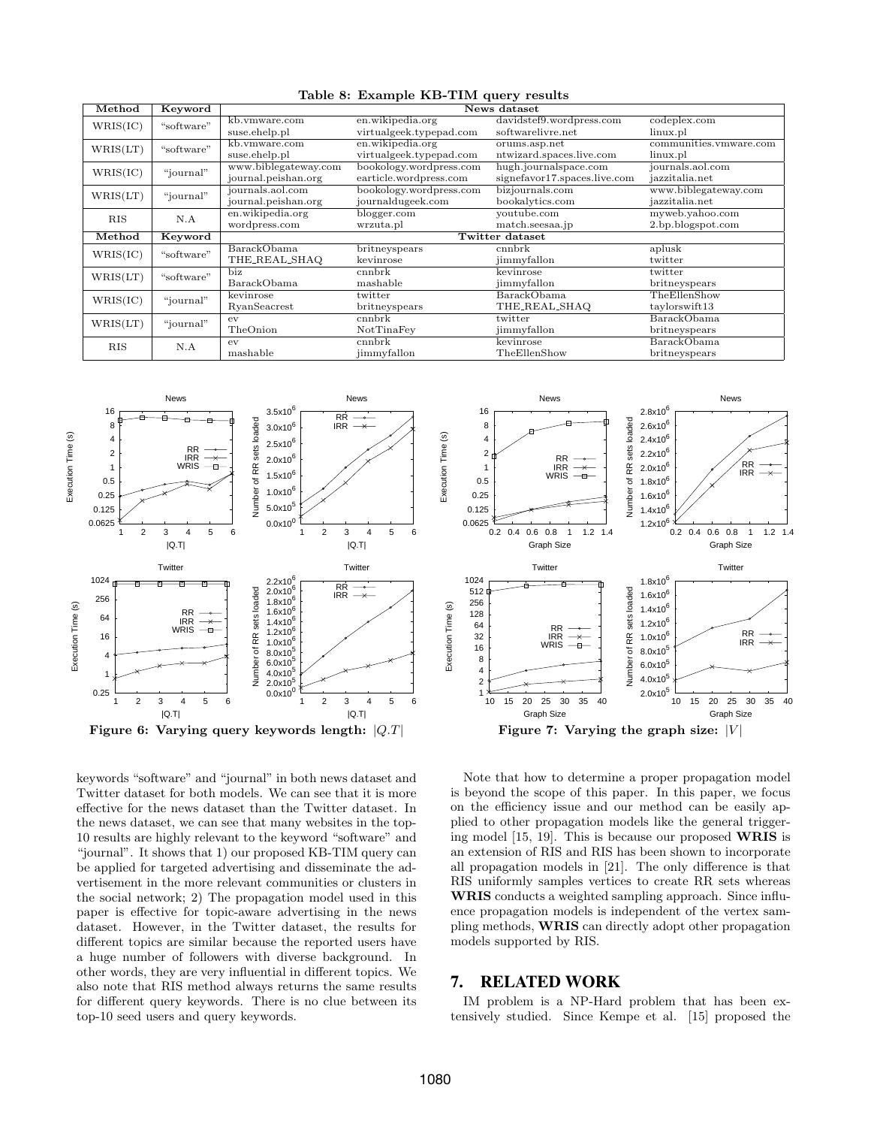| Method     | Keyword    | News dataset         |                            |                              |                        |  |  |  |
|------------|------------|----------------------|----------------------------|------------------------------|------------------------|--|--|--|
| WRIS(IC)   | "software" | kb.vmware.com        | en.wikipedia.org           | davidstef9.wordpress.com     | codeplex.com           |  |  |  |
|            |            | suse.ehelp.pl        | virtualgeek.typepad.com    | softwarelivre.net            | linux.pl               |  |  |  |
| WRIS(LT)   | "software" | kb.ymware.com        | en.wikipedia.org           | orums.asp.net                | communities.vmware.com |  |  |  |
|            |            | suse.ehelp.pl        | virtualgeek.typepad.com    | ntwizard.spaces.live.com     | linux.pl               |  |  |  |
| WRIS(IC)   | "journal"  | www.biblegateway.com | bookology.wordpress.com    | hugh.journalspace.com        | journals.aol.com       |  |  |  |
|            |            | journal.peishan.org  | earticle.wordpress.com     | signefavor17.spaces.live.com | jazzitalia.net         |  |  |  |
| WRIS(LT)   | "journal"  | journals.aol.com     | bookology.wordpress.com    | bizjournals.com              | www.biblegateway.com   |  |  |  |
|            |            | journal.peishan.org  | journaldugeek.com          | bookalytics.com              | jazzitalia.net         |  |  |  |
| <b>RIS</b> | N.A        | en.wikipedia.org     | youtube.com<br>blogger.com |                              | myweb.yahoo.com        |  |  |  |
|            |            | wordpress.com        | wrzuta.pl                  | match.seesaa.jp              | 2.bp.blogspot.com      |  |  |  |
| Method     | Keyword    | Twitter dataset      |                            |                              |                        |  |  |  |
| WRIS(IC)   | "software" | <b>BarackObama</b>   | britneyspears              | cnnbrk                       | aplusk                 |  |  |  |
|            |            | THE_REAL_SHAQ        | kevinrose                  | jimmyfallon                  | twitter                |  |  |  |
| WRIS(LT)   | "software" | biz                  | cnnbrk                     | kevinrose                    | twitter                |  |  |  |
|            |            | BarackObama          | mashable                   | jimmyfallon                  | britneyspears          |  |  |  |
| WRIS(IC)   | "journal"  | kevinrose            | twitter                    | BarackObama                  | TheEllenShow           |  |  |  |
|            |            | RyanSeacrest         | britneyspears              | THE_REAL_SHAQ                | taylors with 13        |  |  |  |
| WRIS(LT)   | "journal"  | ev                   | cnnbrk                     | twitter                      | BarackObama            |  |  |  |
|            |            | TheOnion             | NotTinaFey                 | jimmyfallon                  | britneyspears          |  |  |  |
| <b>RIS</b> | N.A        | ev                   | cnnbrk                     | kevinrose                    | BarackObama            |  |  |  |
|            |            | mashable             | jimmyfallon                | TheEllenShow                 | britneyspears          |  |  |  |

Table 8: Example KB-TIM query results



keywords "software" and "journal" in both news dataset and Twitter dataset for both models. We can see that it is more effective for the news dataset than the Twitter dataset. In the news dataset, we can see that many websites in the top-10 results are highly relevant to the keyword "software" and "journal". It shows that 1) our proposed KB-TIM query can be applied for targeted advertising and disseminate the advertisement in the more relevant communities or clusters in the social network; 2) The propagation model used in this paper is effective for topic-aware advertising in the news dataset. However, in the Twitter dataset, the results for different topics are similar because the reported users have a huge number of followers with diverse background. In other words, they are very influential in different topics. We also note that RIS method always returns the same results for different query keywords. There is no clue between its top-10 seed users and query keywords.



Note that how to determine a proper propagation model is beyond the scope of this paper. In this paper, we focus on the efficiency issue and our method can be easily applied to other propagation models like the general triggering model [15, 19]. This is because our proposed WRIS is an extension of RIS and RIS has been shown to incorporate all propagation models in [21]. The only difference is that RIS uniformly samples vertices to create RR sets whereas WRIS conducts a weighted sampling approach. Since influence propagation models is independent of the vertex sampling methods, WRIS can directly adopt other propagation models supported by RIS.

## 7. RELATED WORK

IM problem is a NP-Hard problem that has been extensively studied. Since Kempe et al. [15] proposed the